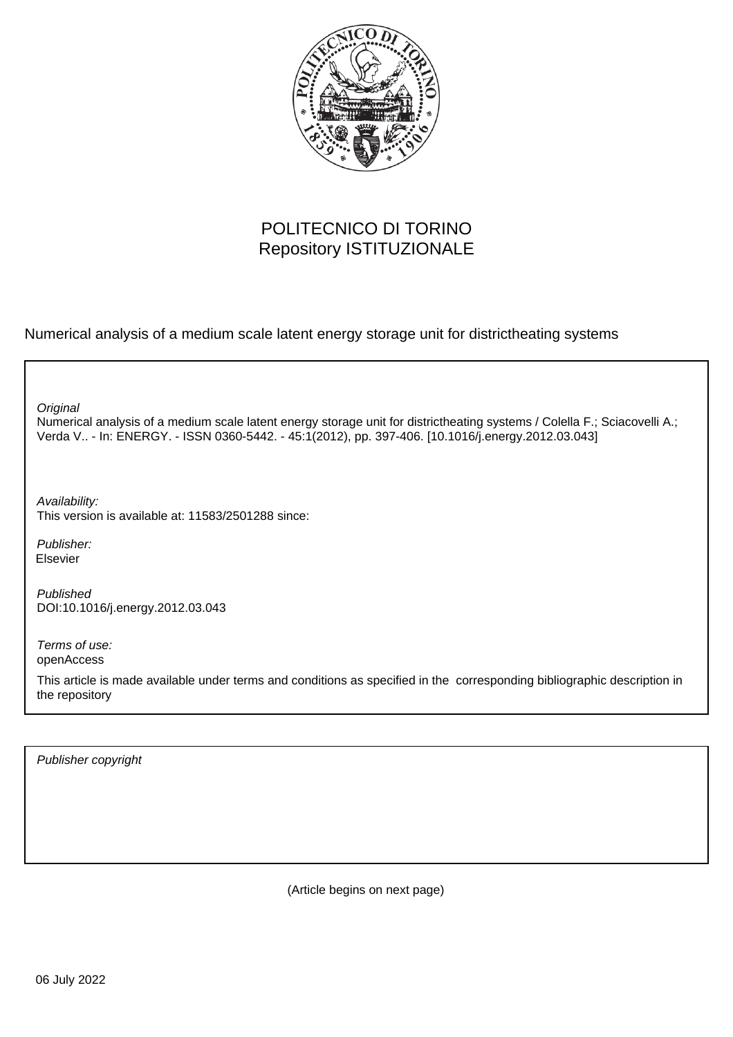

#### POLITECNICO DI TORINO Repository ISTITUZIONALE

Numerical analysis of a medium scale latent energy storage unit for districtheating systems

**Original** 

Numerical analysis of a medium scale latent energy storage unit for districtheating systems / Colella F.; Sciacovelli A.; Verda V.. - In: ENERGY. - ISSN 0360-5442. - 45:1(2012), pp. 397-406. [10.1016/j.energy.2012.03.043]

Availability: This version is available at: 11583/2501288 since:

Publisher: Elsevier

Published DOI:10.1016/j.energy.2012.03.043

Terms of use: openAccess

This article is made available under terms and conditions as specified in the corresponding bibliographic description in the repository

Publisher copyright

(Article begins on next page)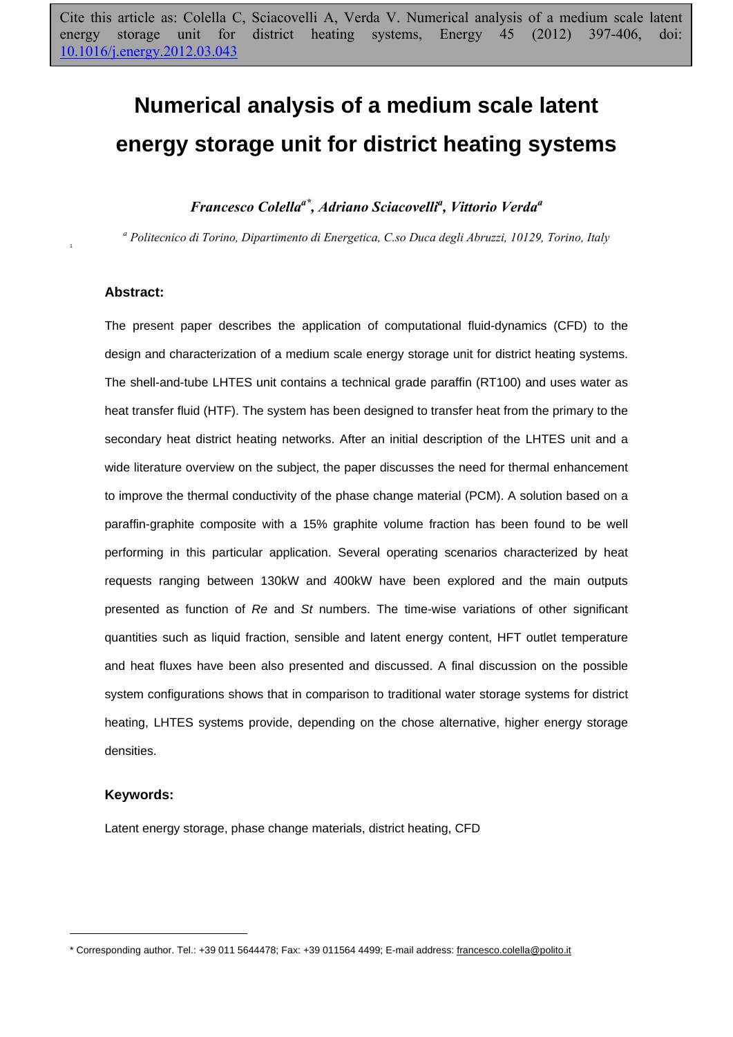# **Numerical analysis of a medium scale latent energy storage unit for district heating systems**

#### *Francesco Colellaa\*, Adriano Sciacovellia , Vittorio Verdaa*

*a Politecnico di Torino, Dipartimento di Energetica, C.so Duca degli Abruzzi, 10129, Torino, Italy* 

#### **Abstract:**

1

The present paper describes the application of computational fluid-dynamics (CFD) to the design and characterization of a medium scale energy storage unit for district heating systems. The shell-and-tube LHTES unit contains a technical grade paraffin (RT100) and uses water as heat transfer fluid (HTF). The system has been designed to transfer heat from the primary to the secondary heat district heating networks. After an initial description of the LHTES unit and a wide literature overview on the subject, the paper discusses the need for thermal enhancement to improve the thermal conductivity of the phase change material (PCM). A solution based on a paraffin-graphite composite with a 15% graphite volume fraction has been found to be well performing in this particular application. Several operating scenarios characterized by heat requests ranging between 130kW and 400kW have been explored and the main outputs presented as function of *Re* and *St* numbers. The time-wise variations of other significant quantities such as liquid fraction, sensible and latent energy content, HFT outlet temperature and heat fluxes have been also presented and discussed. A final discussion on the possible system configurations shows that in comparison to traditional water storage systems for district heating, LHTES systems provide, depending on the chose alternative, higher energy storage densities.

#### **Keywords:**

 $\overline{a}$ 

Latent energy storage, phase change materials, district heating, CFD

<sup>\*</sup> Corresponding author. Tel.: +39 011 5644478; Fax: +39 011564 4499; E-mail address: francesco.colella@polito.it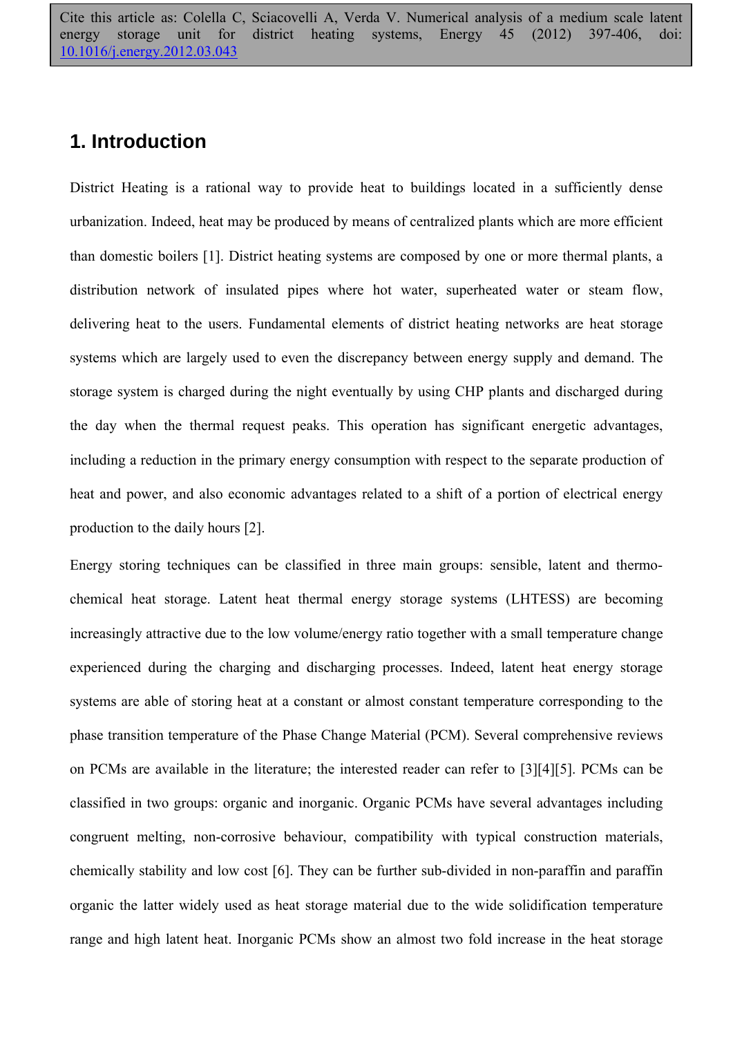#### **1. Introduction**

District Heating is a rational way to provide heat to buildings located in a sufficiently dense urbanization. Indeed, heat may be produced by means of centralized plants which are more efficient than domestic boilers [1]. District heating systems are composed by one or more thermal plants, a distribution network of insulated pipes where hot water, superheated water or steam flow, delivering heat to the users. Fundamental elements of district heating networks are heat storage systems which are largely used to even the discrepancy between energy supply and demand. The storage system is charged during the night eventually by using CHP plants and discharged during the day when the thermal request peaks. This operation has significant energetic advantages, including a reduction in the primary energy consumption with respect to the separate production of heat and power, and also economic advantages related to a shift of a portion of electrical energy production to the daily hours [2].

Energy storing techniques can be classified in three main groups: sensible, latent and thermochemical heat storage. Latent heat thermal energy storage systems (LHTESS) are becoming increasingly attractive due to the low volume/energy ratio together with a small temperature change experienced during the charging and discharging processes. Indeed, latent heat energy storage systems are able of storing heat at a constant or almost constant temperature corresponding to the phase transition temperature of the Phase Change Material (PCM). Several comprehensive reviews on PCMs are available in the literature; the interested reader can refer to [3][4][5]. PCMs can be classified in two groups: organic and inorganic. Organic PCMs have several advantages including congruent melting, non-corrosive behaviour, compatibility with typical construction materials, chemically stability and low cost [6]. They can be further sub-divided in non-paraffin and paraffin organic the latter widely used as heat storage material due to the wide solidification temperature range and high latent heat. Inorganic PCMs show an almost two fold increase in the heat storage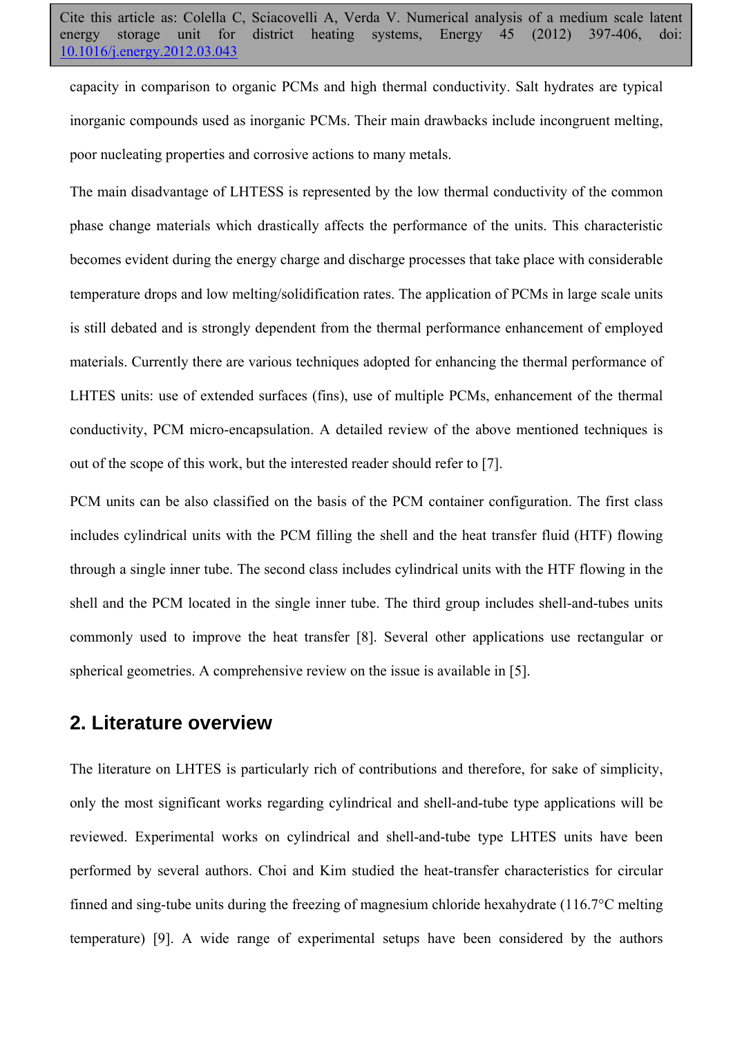capacity in comparison to organic PCMs and high thermal conductivity. Salt hydrates are typical inorganic compounds used as inorganic PCMs. Their main drawbacks include incongruent melting, poor nucleating properties and corrosive actions to many metals.

The main disadvantage of LHTESS is represented by the low thermal conductivity of the common phase change materials which drastically affects the performance of the units. This characteristic becomes evident during the energy charge and discharge processes that take place with considerable temperature drops and low melting/solidification rates. The application of PCMs in large scale units is still debated and is strongly dependent from the thermal performance enhancement of employed materials. Currently there are various techniques adopted for enhancing the thermal performance of LHTES units: use of extended surfaces (fins), use of multiple PCMs, enhancement of the thermal conductivity, PCM micro-encapsulation. A detailed review of the above mentioned techniques is out of the scope of this work, but the interested reader should refer to [7].

PCM units can be also classified on the basis of the PCM container configuration. The first class includes cylindrical units with the PCM filling the shell and the heat transfer fluid (HTF) flowing through a single inner tube. The second class includes cylindrical units with the HTF flowing in the shell and the PCM located in the single inner tube. The third group includes shell-and-tubes units commonly used to improve the heat transfer [8]. Several other applications use rectangular or spherical geometries. A comprehensive review on the issue is available in [5].

#### **2. Literature overview**

The literature on LHTES is particularly rich of contributions and therefore, for sake of simplicity, only the most significant works regarding cylindrical and shell-and-tube type applications will be reviewed. Experimental works on cylindrical and shell-and-tube type LHTES units have been performed by several authors. Choi and Kim studied the heat-transfer characteristics for circular finned and sing-tube units during the freezing of magnesium chloride hexahydrate (116.7°C melting temperature) [9]. A wide range of experimental setups have been considered by the authors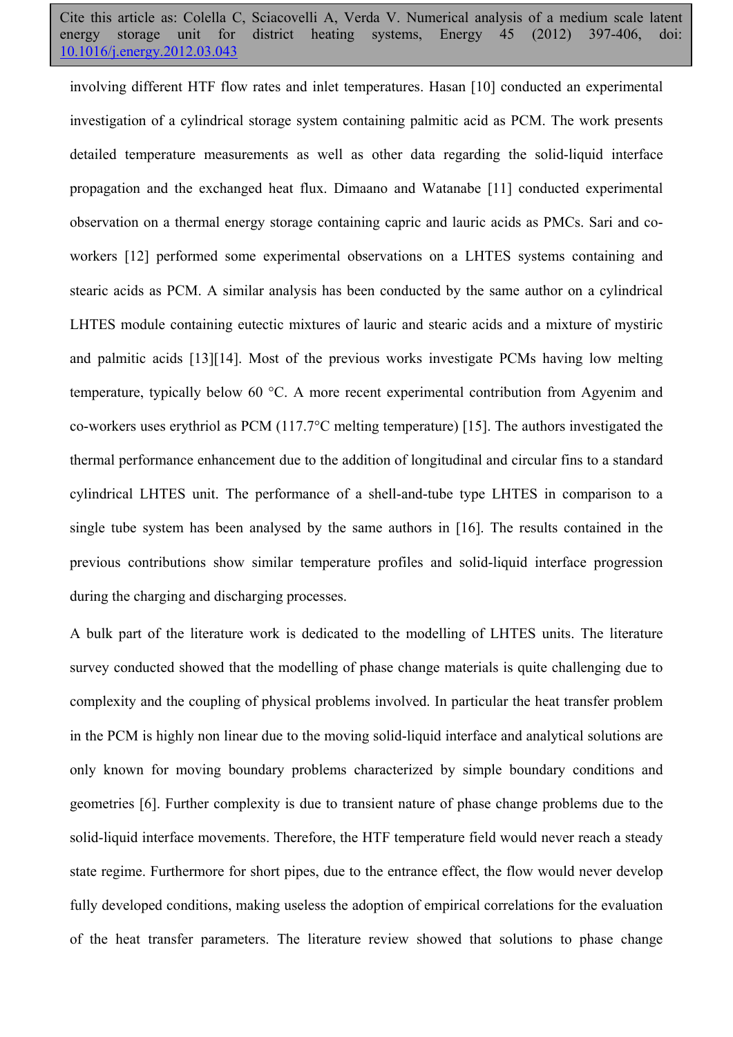involving different HTF flow rates and inlet temperatures. Hasan [10] conducted an experimental investigation of a cylindrical storage system containing palmitic acid as PCM. The work presents detailed temperature measurements as well as other data regarding the solid-liquid interface propagation and the exchanged heat flux. Dimaano and Watanabe [11] conducted experimental observation on a thermal energy storage containing capric and lauric acids as PMCs. Sari and coworkers [12] performed some experimental observations on a LHTES systems containing and stearic acids as PCM. A similar analysis has been conducted by the same author on a cylindrical LHTES module containing eutectic mixtures of lauric and stearic acids and a mixture of mystiric and palmitic acids [13][14]. Most of the previous works investigate PCMs having low melting temperature, typically below 60 °C. A more recent experimental contribution from Agyenim and co-workers uses erythriol as PCM (117.7°C melting temperature) [15]. The authors investigated the thermal performance enhancement due to the addition of longitudinal and circular fins to a standard cylindrical LHTES unit. The performance of a shell-and-tube type LHTES in comparison to a single tube system has been analysed by the same authors in [16]. The results contained in the previous contributions show similar temperature profiles and solid-liquid interface progression during the charging and discharging processes.

A bulk part of the literature work is dedicated to the modelling of LHTES units. The literature survey conducted showed that the modelling of phase change materials is quite challenging due to complexity and the coupling of physical problems involved. In particular the heat transfer problem in the PCM is highly non linear due to the moving solid-liquid interface and analytical solutions are only known for moving boundary problems characterized by simple boundary conditions and geometries [6]. Further complexity is due to transient nature of phase change problems due to the solid-liquid interface movements. Therefore, the HTF temperature field would never reach a steady state regime. Furthermore for short pipes, due to the entrance effect, the flow would never develop fully developed conditions, making useless the adoption of empirical correlations for the evaluation of the heat transfer parameters. The literature review showed that solutions to phase change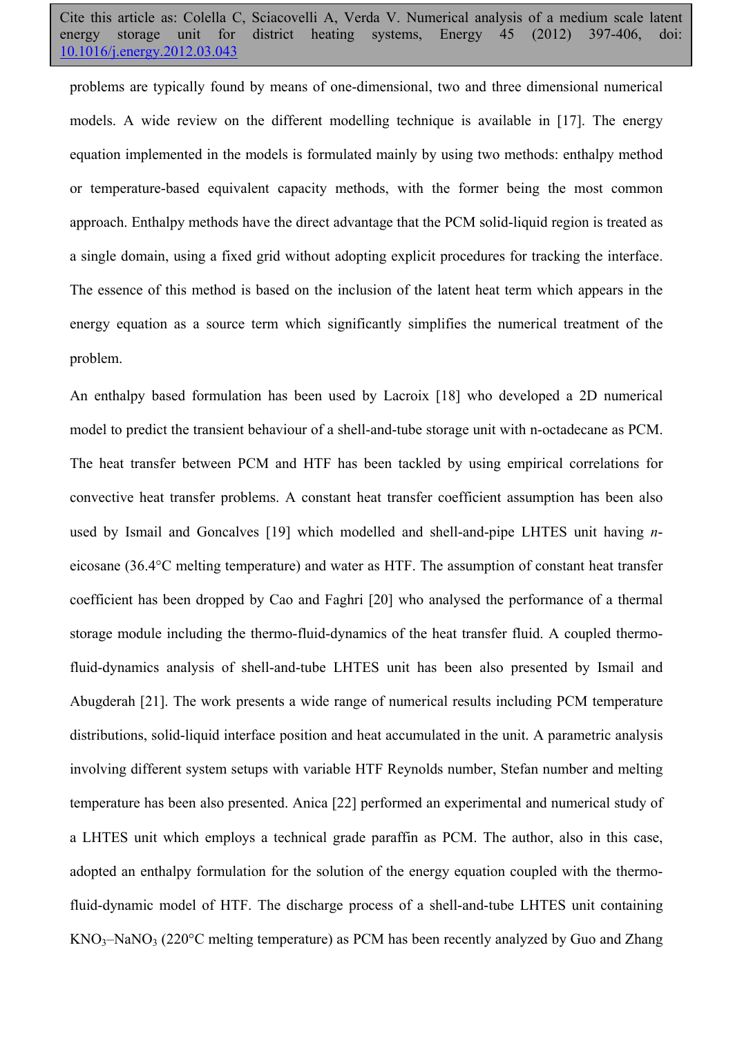problems are typically found by means of one-dimensional, two and three dimensional numerical models. A wide review on the different modelling technique is available in [17]. The energy equation implemented in the models is formulated mainly by using two methods: enthalpy method or temperature-based equivalent capacity methods, with the former being the most common approach. Enthalpy methods have the direct advantage that the PCM solid-liquid region is treated as a single domain, using a fixed grid without adopting explicit procedures for tracking the interface. The essence of this method is based on the inclusion of the latent heat term which appears in the energy equation as a source term which significantly simplifies the numerical treatment of the problem.

An enthalpy based formulation has been used by Lacroix [18] who developed a 2D numerical model to predict the transient behaviour of a shell-and-tube storage unit with n-octadecane as PCM. The heat transfer between PCM and HTF has been tackled by using empirical correlations for convective heat transfer problems. A constant heat transfer coefficient assumption has been also used by Ismail and Goncalves [19] which modelled and shell-and-pipe LHTES unit having *n*eicosane (36.4°C melting temperature) and water as HTF. The assumption of constant heat transfer coefficient has been dropped by Cao and Faghri [20] who analysed the performance of a thermal storage module including the thermo-fluid-dynamics of the heat transfer fluid. A coupled thermofluid-dynamics analysis of shell-and-tube LHTES unit has been also presented by Ismail and Abugderah [21]. The work presents a wide range of numerical results including PCM temperature distributions, solid-liquid interface position and heat accumulated in the unit. A parametric analysis involving different system setups with variable HTF Reynolds number, Stefan number and melting temperature has been also presented. Anica [22] performed an experimental and numerical study of a LHTES unit which employs a technical grade paraffin as PCM. The author, also in this case, adopted an enthalpy formulation for the solution of the energy equation coupled with the thermofluid-dynamic model of HTF. The discharge process of a shell-and-tube LHTES unit containing  $KNO_3-NaNO_3$  (220°C melting temperature) as PCM has been recently analyzed by Guo and Zhang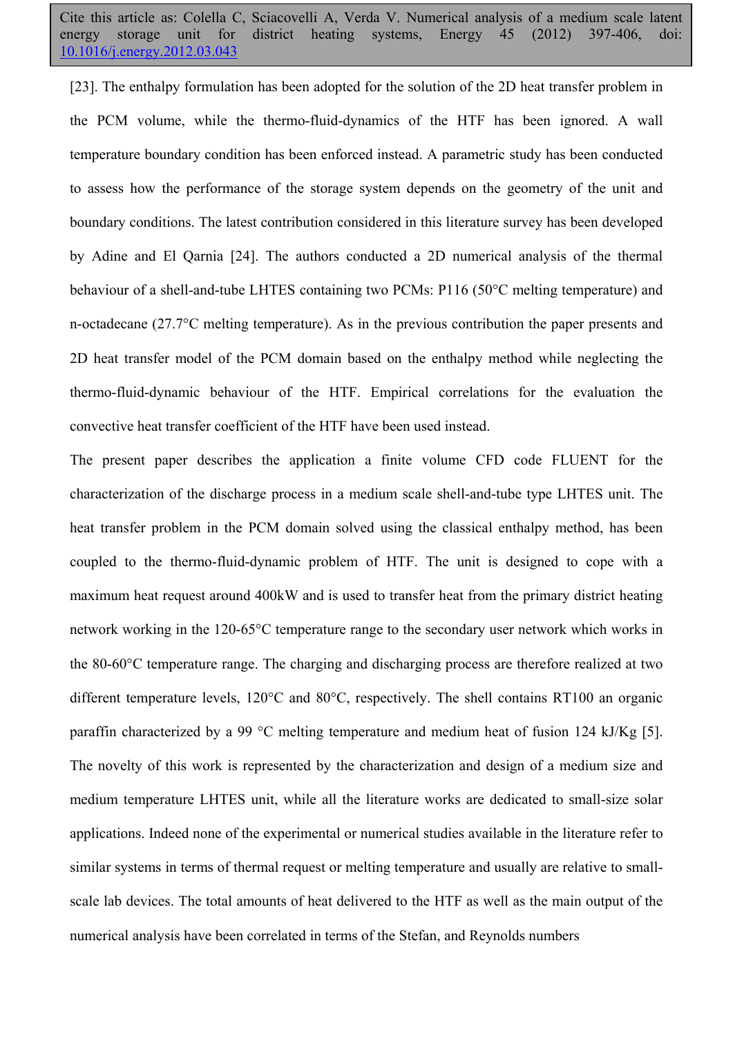[23]. The enthalpy formulation has been adopted for the solution of the 2D heat transfer problem in the PCM volume, while the thermo-fluid-dynamics of the HTF has been ignored. A wall temperature boundary condition has been enforced instead. A parametric study has been conducted to assess how the performance of the storage system depends on the geometry of the unit and boundary conditions. The latest contribution considered in this literature survey has been developed by Adine and El Qarnia [24]. The authors conducted a 2D numerical analysis of the thermal behaviour of a shell-and-tube LHTES containing two PCMs: P116 (50°C melting temperature) and n-octadecane (27.7°C melting temperature). As in the previous contribution the paper presents and 2D heat transfer model of the PCM domain based on the enthalpy method while neglecting the thermo-fluid-dynamic behaviour of the HTF. Empirical correlations for the evaluation the convective heat transfer coefficient of the HTF have been used instead.

The present paper describes the application a finite volume CFD code FLUENT for the characterization of the discharge process in a medium scale shell-and-tube type LHTES unit. The heat transfer problem in the PCM domain solved using the classical enthalpy method, has been coupled to the thermo-fluid-dynamic problem of HTF. The unit is designed to cope with a maximum heat request around 400kW and is used to transfer heat from the primary district heating network working in the 120-65°C temperature range to the secondary user network which works in the 80-60°C temperature range. The charging and discharging process are therefore realized at two different temperature levels, 120°C and 80°C, respectively. The shell contains RT100 an organic paraffin characterized by a 99 °C melting temperature and medium heat of fusion 124 kJ/Kg [5]. The novelty of this work is represented by the characterization and design of a medium size and medium temperature LHTES unit, while all the literature works are dedicated to small-size solar applications. Indeed none of the experimental or numerical studies available in the literature refer to similar systems in terms of thermal request or melting temperature and usually are relative to smallscale lab devices. The total amounts of heat delivered to the HTF as well as the main output of the numerical analysis have been correlated in terms of the Stefan, and Reynolds numbers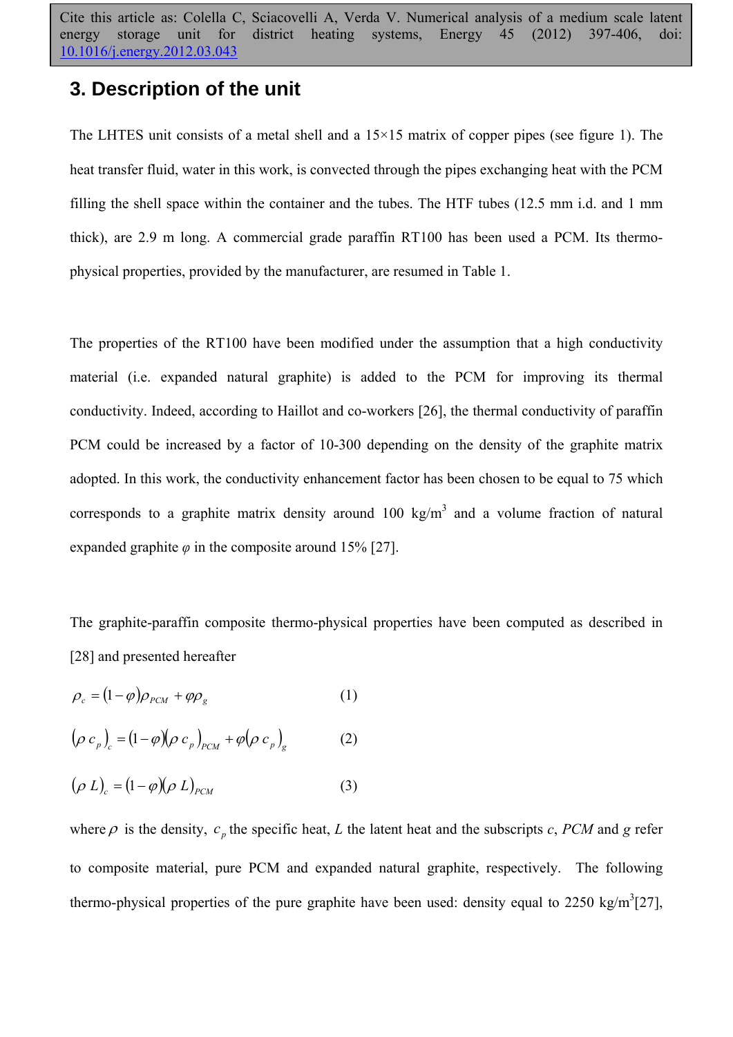#### **3. Description of the unit**

The LHTES unit consists of a metal shell and a  $15\times15$  matrix of copper pipes (see figure 1). The heat transfer fluid, water in this work, is convected through the pipes exchanging heat with the PCM filling the shell space within the container and the tubes. The HTF tubes (12.5 mm i.d. and 1 mm thick), are 2.9 m long. A commercial grade paraffin RT100 has been used a PCM. Its thermophysical properties, provided by the manufacturer, are resumed in Table 1.

The properties of the RT100 have been modified under the assumption that a high conductivity material (i.e. expanded natural graphite) is added to the PCM for improving its thermal conductivity. Indeed, according to Haillot and co-workers [26], the thermal conductivity of paraffin PCM could be increased by a factor of 10-300 depending on the density of the graphite matrix adopted. In this work, the conductivity enhancement factor has been chosen to be equal to 75 which corresponds to a graphite matrix density around 100 kg/m<sup>3</sup> and a volume fraction of natural expanded graphite  $\varphi$  in the composite around 15% [27].

The graphite-paraffin composite thermo-physical properties have been computed as described in [28] and presented hereafter

$$
\rho_c = (1 - \varphi)\rho_{PCM} + \varphi\rho_g \tag{1}
$$

$$
(\rho c_p)_c = (1 - \varphi)(\rho c_p)_{p \in M} + \varphi(\rho c_p)_g \tag{2}
$$

$$
(\rho L)_{c} = (1 - \varphi)(\rho L)_{PCM}
$$
 (3)

where  $\rho$  is the density,  $c_n$  the specific heat, *L* the latent heat and the subscripts  $c$ , *PCM* and *g* refer to composite material, pure PCM and expanded natural graphite, respectively. The following thermo-physical properties of the pure graphite have been used: density equal to 2250 kg/m<sup>3</sup>[27],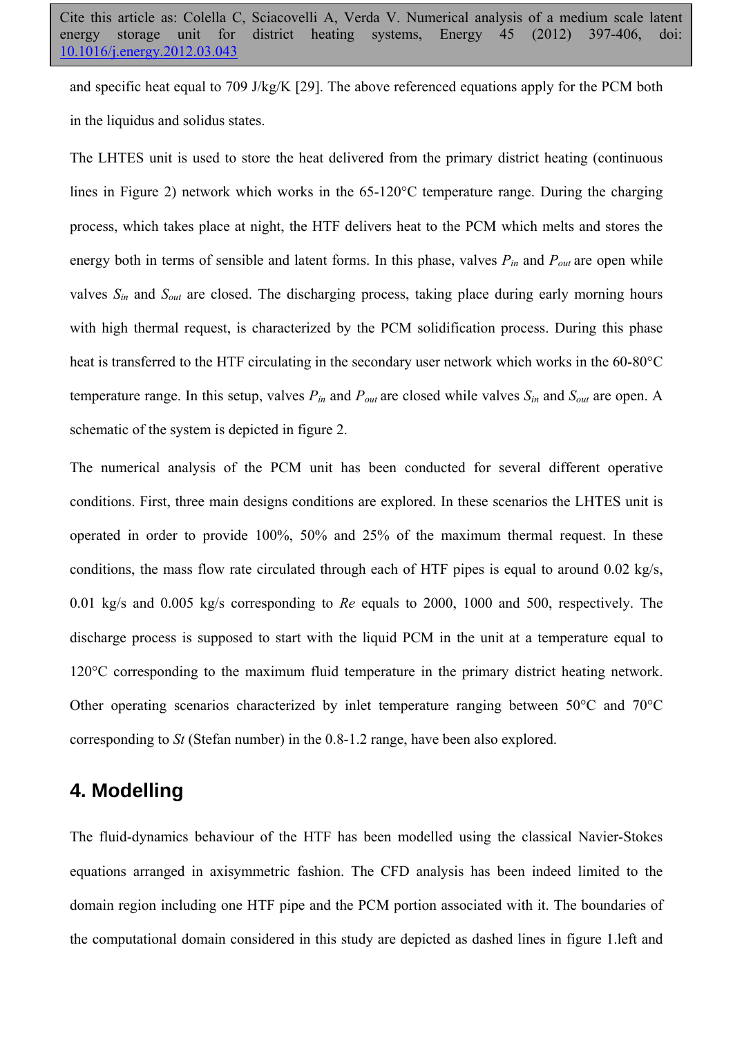and specific heat equal to 709 J/kg/K [29]. The above referenced equations apply for the PCM both in the liquidus and solidus states.

The LHTES unit is used to store the heat delivered from the primary district heating (continuous lines in Figure 2) network which works in the 65-120°C temperature range. During the charging process, which takes place at night, the HTF delivers heat to the PCM which melts and stores the energy both in terms of sensible and latent forms. In this phase, valves  $P_{in}$  and  $P_{out}$  are open while valves *Sin* and *Sout* are closed. The discharging process, taking place during early morning hours with high thermal request, is characterized by the PCM solidification process. During this phase heat is transferred to the HTF circulating in the secondary user network which works in the 60-80°C temperature range. In this setup, valves *Pin* and *Pout* are closed while valves *Sin* and *Sout* are open. A schematic of the system is depicted in figure 2.

The numerical analysis of the PCM unit has been conducted for several different operative conditions. First, three main designs conditions are explored. In these scenarios the LHTES unit is operated in order to provide 100%, 50% and 25% of the maximum thermal request. In these conditions, the mass flow rate circulated through each of HTF pipes is equal to around 0.02 kg/s, 0.01 kg/s and 0.005 kg/s corresponding to *Re* equals to 2000, 1000 and 500, respectively. The discharge process is supposed to start with the liquid PCM in the unit at a temperature equal to 120°C corresponding to the maximum fluid temperature in the primary district heating network. Other operating scenarios characterized by inlet temperature ranging between 50°C and 70°C corresponding to *St* (Stefan number) in the 0.8-1.2 range, have been also explored.

#### **4. Modelling**

The fluid-dynamics behaviour of the HTF has been modelled using the classical Navier-Stokes equations arranged in axisymmetric fashion. The CFD analysis has been indeed limited to the domain region including one HTF pipe and the PCM portion associated with it. The boundaries of the computational domain considered in this study are depicted as dashed lines in figure 1.left and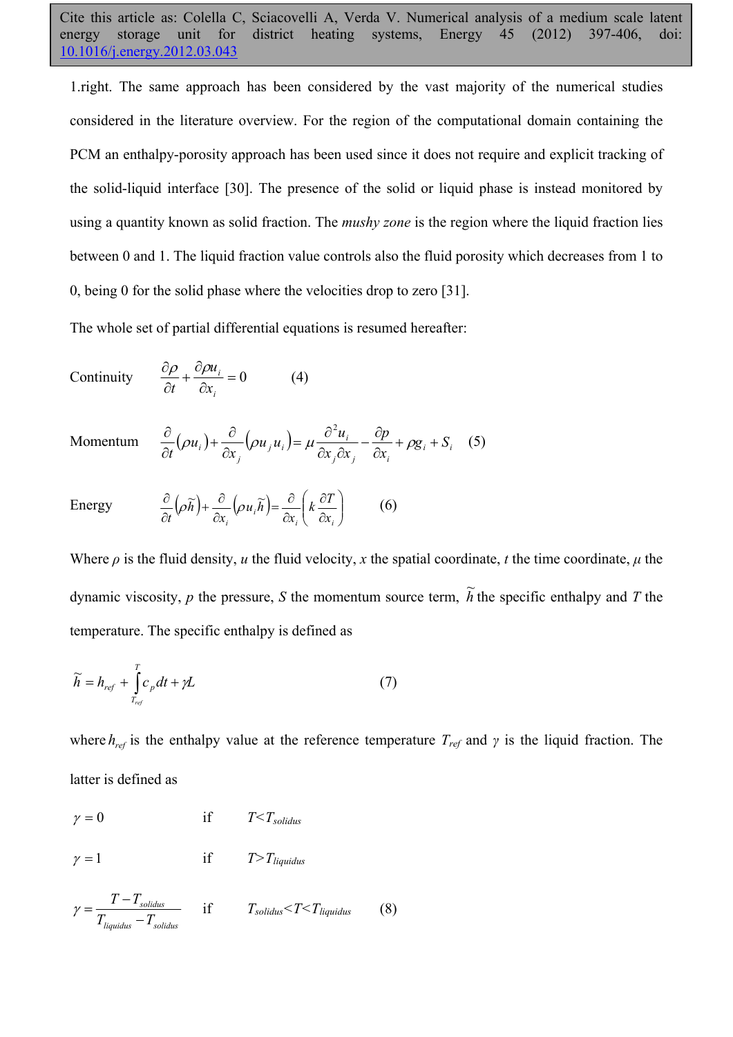1.right. The same approach has been considered by the vast majority of the numerical studies considered in the literature overview. For the region of the computational domain containing the PCM an enthalpy-porosity approach has been used since it does not require and explicit tracking of the solid-liquid interface [30]. The presence of the solid or liquid phase is instead monitored by using a quantity known as solid fraction. The *mushy zone* is the region where the liquid fraction lies between 0 and 1. The liquid fraction value controls also the fluid porosity which decreases from 1 to 0, being 0 for the solid phase where the velocities drop to zero [31].

The whole set of partial differential equations is resumed hereafter:

Continuity 
$$
\frac{\partial \rho}{\partial t} + \frac{\partial \rho u_i}{\partial x_i} = 0
$$
 (4)

$$
\text{Momentum} \quad \frac{\partial}{\partial t}(\rho u_i) + \frac{\partial}{\partial x_j}(\rho u_j u_i) = \mu \frac{\partial^2 u_i}{\partial x_j \partial x_j} - \frac{\partial p}{\partial x_i} + \rho g_i + S_i \quad (5)
$$

Energy  $\frac{\partial}{\partial t} (\rho \widetilde{h}) + \frac{\partial}{\partial x} (\rho u_i \widetilde{h}) = \frac{\partial}{\partial x} |k \frac{\partial}{\partial x}|$ ⎠ ⎞  $\parallel$ ⎝  $\big($ ∂ ∂  $+\frac{\partial}{\partial x_i}(\rho u_i \widetilde{h}) = \frac{\partial}{\partial x_i}$ ∂ ∂  $i \in \alpha_i$  $\int_{i}^{\infty}$   $\left(\frac{\mu u_i n}{\partial x_i}\right)$   $\left(\frac{\kappa}{\partial x_i}\right)$  $k\frac{\partial T}{\partial t}$ *x*  $u_i$ *h x h t*  $(\rho \widetilde{h}) + \frac{\partial}{\partial \rho} (\rho u_i \widetilde{h}) = \frac{\partial}{\partial \rho} \left( k \frac{\partial T}{\partial \rho} \right)$  (6)

Where  $\rho$  is the fluid density, *u* the fluid velocity, *x* the spatial coordinate, *t* the time coordinate,  $\mu$  the dynamic viscosity, *p* the pressure, *S* the momentum source term,  $\tilde{h}$  the specific enthalpy and *T* the temperature. The specific enthalpy is defined as

$$
\widetilde{h} = h_{ref} + \int_{T_{ref}}^{T} c_p dt + \gamma L \tag{7}
$$

where  $h_{ref}$  is the enthalpy value at the reference temperature  $T_{ref}$  and  $\gamma$  is the liquid fraction. The latter is defined as

$$
\gamma = 0 \qquad \qquad \text{if} \qquad T < T_{solidus}
$$

 $\gamma = 1$  if  $T>T_{liquidus}$ 

$$
\gamma = \frac{T - T_{solidus}}{T_{liquidus} - T_{solidus}} \quad \text{if} \quad T_{solidus} < T < T_{liquidus} \quad (8)
$$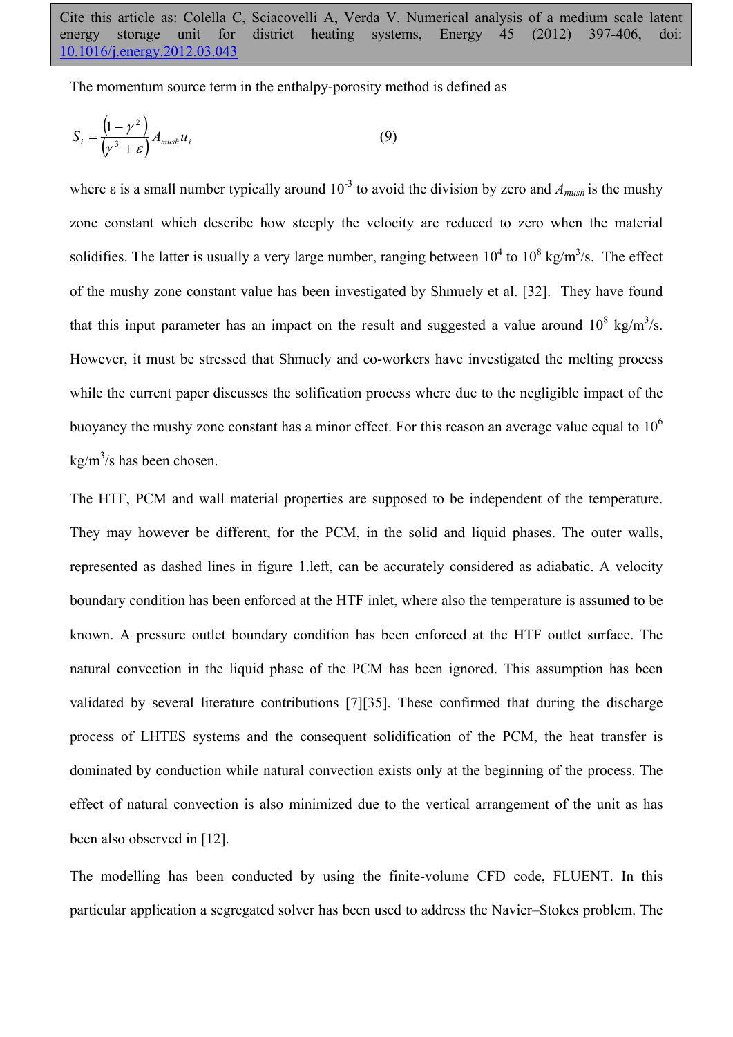The momentum source term in the enthalpy-porosity method is defined as

$$
S_i = \frac{\left(1 - \gamma^2\right)}{\left(\gamma^3 + \varepsilon\right)} A_{mush} u_i
$$
\n(9)

where  $\varepsilon$  is a small number typically around 10<sup>-3</sup> to avoid the division by zero and  $A_{m\nu sh}$  is the mushy zone constant which describe how steeply the velocity are reduced to zero when the material solidifies. The latter is usually a very large number, ranging between  $10^4$  to  $10^8$  kg/m<sup>3</sup>/s. The effect of the mushy zone constant value has been investigated by Shmuely et al. [32]. They have found that this input parameter has an impact on the result and suggested a value around  $10^8 \text{ kg/m}^3/\text{s}$ . However, it must be stressed that Shmuely and co-workers have investigated the melting process while the current paper discusses the solification process where due to the negligible impact of the buoyancy the mushy zone constant has a minor effect. For this reason an average value equal to  $10<sup>6</sup>$  $\text{kg/m}^3\text{/s}$  has been chosen.

The HTF, PCM and wall material properties are supposed to be independent of the temperature. They may however be different, for the PCM, in the solid and liquid phases. The outer walls, represented as dashed lines in figure 1.left, can be accurately considered as adiabatic. A velocity boundary condition has been enforced at the HTF inlet, where also the temperature is assumed to be known. A pressure outlet boundary condition has been enforced at the HTF outlet surface. The natural convection in the liquid phase of the PCM has been ignored. This assumption has been validated by several literature contributions [7][35]. These confirmed that during the discharge process of LHTES systems and the consequent solidification of the PCM, the heat transfer is dominated by conduction while natural convection exists only at the beginning of the process. The effect of natural convection is also minimized due to the vertical arrangement of the unit as has been also observed in [12].

The modelling has been conducted by using the finite-volume CFD code, FLUENT. In this particular application a segregated solver has been used to address the Navier–Stokes problem. The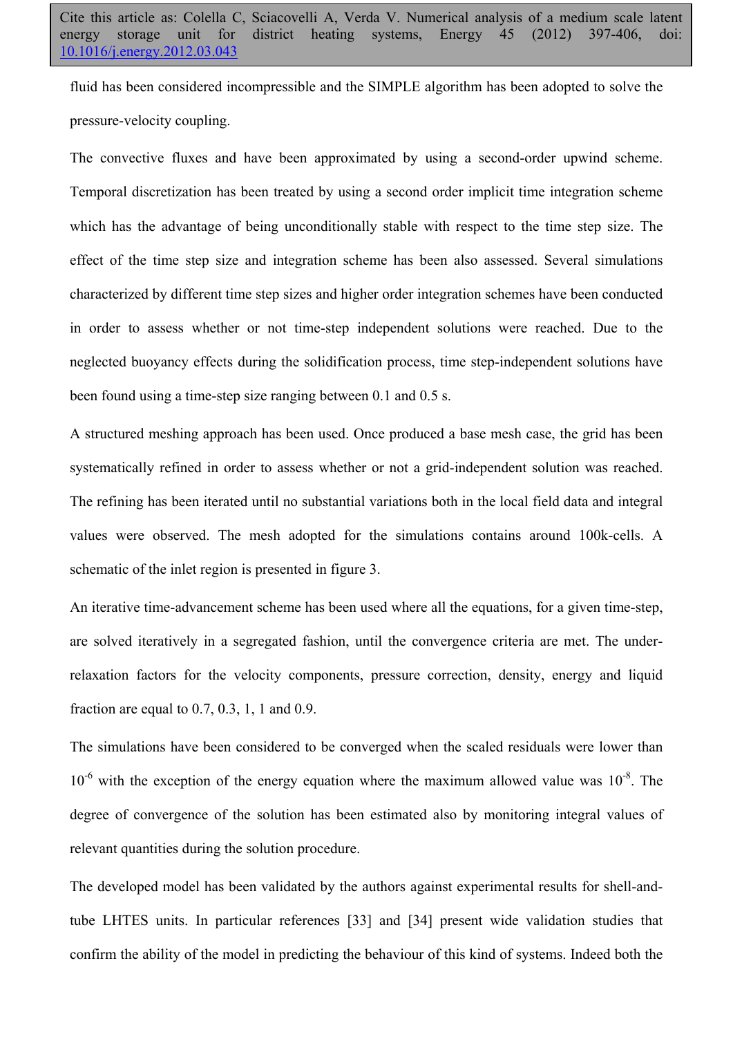fluid has been considered incompressible and the SIMPLE algorithm has been adopted to solve the pressure-velocity coupling.

The convective fluxes and have been approximated by using a second-order upwind scheme. Temporal discretization has been treated by using a second order implicit time integration scheme which has the advantage of being unconditionally stable with respect to the time step size. The effect of the time step size and integration scheme has been also assessed. Several simulations characterized by different time step sizes and higher order integration schemes have been conducted in order to assess whether or not time-step independent solutions were reached. Due to the neglected buoyancy effects during the solidification process, time step-independent solutions have been found using a time-step size ranging between 0.1 and 0.5 s.

A structured meshing approach has been used. Once produced a base mesh case, the grid has been systematically refined in order to assess whether or not a grid-independent solution was reached. The refining has been iterated until no substantial variations both in the local field data and integral values were observed. The mesh adopted for the simulations contains around 100k-cells. A schematic of the inlet region is presented in figure 3.

An iterative time-advancement scheme has been used where all the equations, for a given time-step, are solved iteratively in a segregated fashion, until the convergence criteria are met. The underrelaxation factors for the velocity components, pressure correction, density, energy and liquid fraction are equal to 0.7, 0.3, 1, 1 and 0.9.

The simulations have been considered to be converged when the scaled residuals were lower than  $10^{-6}$  with the exception of the energy equation where the maximum allowed value was  $10^{-8}$ . The degree of convergence of the solution has been estimated also by monitoring integral values of relevant quantities during the solution procedure.

The developed model has been validated by the authors against experimental results for shell-andtube LHTES units. In particular references [33] and [34] present wide validation studies that confirm the ability of the model in predicting the behaviour of this kind of systems. Indeed both the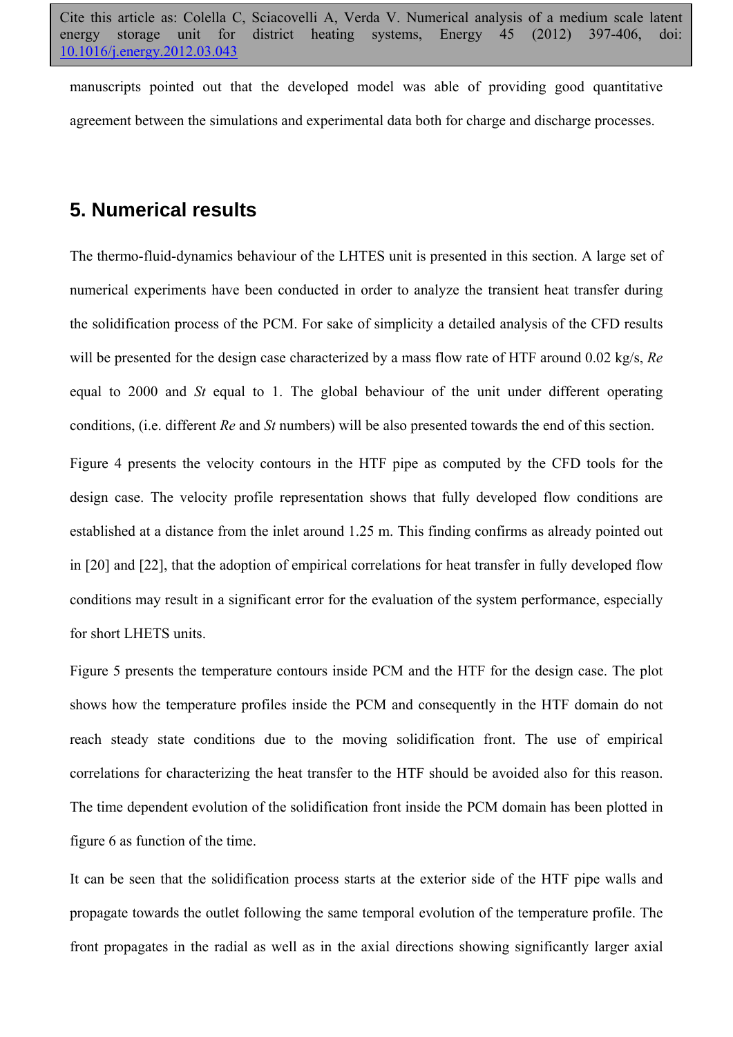manuscripts pointed out that the developed model was able of providing good quantitative agreement between the simulations and experimental data both for charge and discharge processes.

#### **5. Numerical results**

The thermo-fluid-dynamics behaviour of the LHTES unit is presented in this section. A large set of numerical experiments have been conducted in order to analyze the transient heat transfer during the solidification process of the PCM. For sake of simplicity a detailed analysis of the CFD results will be presented for the design case characterized by a mass flow rate of HTF around 0.02 kg/s, *Re* equal to 2000 and *St* equal to 1. The global behaviour of the unit under different operating conditions, (i.e. different *Re* and *St* numbers) will be also presented towards the end of this section.

Figure 4 presents the velocity contours in the HTF pipe as computed by the CFD tools for the design case. The velocity profile representation shows that fully developed flow conditions are established at a distance from the inlet around 1.25 m. This finding confirms as already pointed out in [20] and [22], that the adoption of empirical correlations for heat transfer in fully developed flow conditions may result in a significant error for the evaluation of the system performance, especially for short LHETS units.

Figure 5 presents the temperature contours inside PCM and the HTF for the design case. The plot shows how the temperature profiles inside the PCM and consequently in the HTF domain do not reach steady state conditions due to the moving solidification front. The use of empirical correlations for characterizing the heat transfer to the HTF should be avoided also for this reason. The time dependent evolution of the solidification front inside the PCM domain has been plotted in figure 6 as function of the time.

It can be seen that the solidification process starts at the exterior side of the HTF pipe walls and propagate towards the outlet following the same temporal evolution of the temperature profile. The front propagates in the radial as well as in the axial directions showing significantly larger axial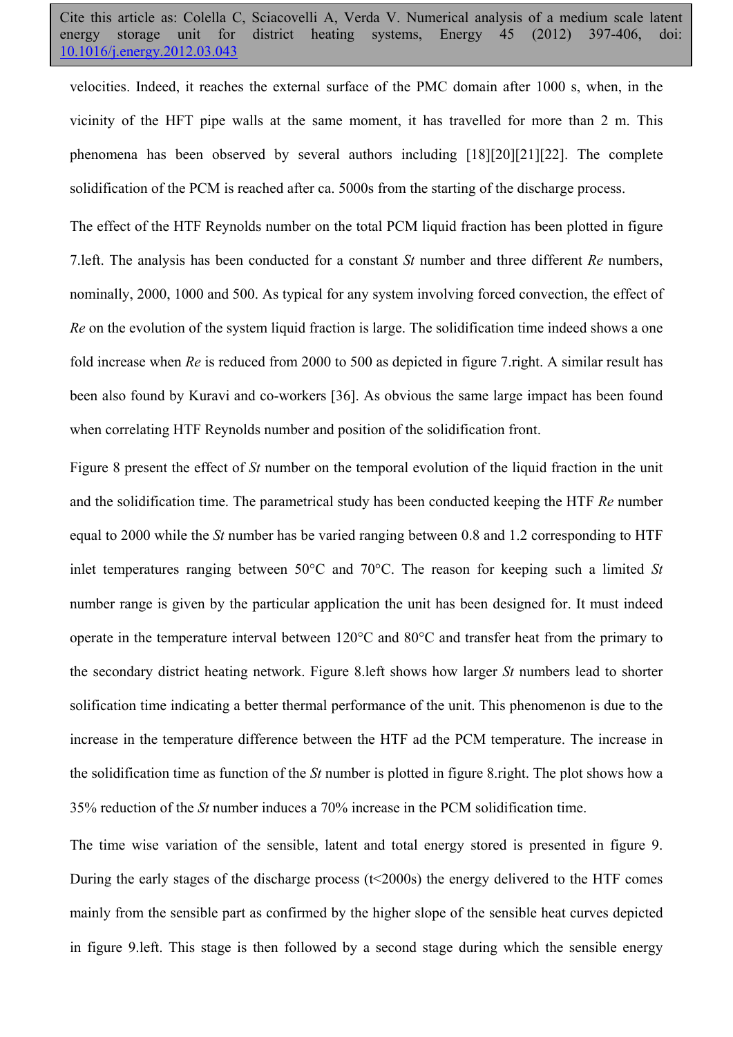velocities. Indeed, it reaches the external surface of the PMC domain after 1000 s, when, in the vicinity of the HFT pipe walls at the same moment, it has travelled for more than 2 m. This phenomena has been observed by several authors including [18][20][21][22]. The complete solidification of the PCM is reached after ca. 5000s from the starting of the discharge process.

The effect of the HTF Reynolds number on the total PCM liquid fraction has been plotted in figure 7.left. The analysis has been conducted for a constant *St* number and three different *Re* numbers, nominally, 2000, 1000 and 500. As typical for any system involving forced convection, the effect of *Re* on the evolution of the system liquid fraction is large. The solidification time indeed shows a one fold increase when *Re* is reduced from 2000 to 500 as depicted in figure 7.right. A similar result has been also found by Kuravi and co-workers [36]. As obvious the same large impact has been found when correlating HTF Reynolds number and position of the solidification front.

Figure 8 present the effect of *St* number on the temporal evolution of the liquid fraction in the unit and the solidification time. The parametrical study has been conducted keeping the HTF *Re* number equal to 2000 while the *St* number has be varied ranging between 0.8 and 1.2 corresponding to HTF inlet temperatures ranging between 50°C and 70°C. The reason for keeping such a limited *St* number range is given by the particular application the unit has been designed for. It must indeed operate in the temperature interval between 120°C and 80°C and transfer heat from the primary to the secondary district heating network. Figure 8.left shows how larger *St* numbers lead to shorter solification time indicating a better thermal performance of the unit. This phenomenon is due to the increase in the temperature difference between the HTF ad the PCM temperature. The increase in the solidification time as function of the *St* number is plotted in figure 8.right. The plot shows how a 35% reduction of the *St* number induces a 70% increase in the PCM solidification time.

The time wise variation of the sensible, latent and total energy stored is presented in figure 9. During the early stages of the discharge process (t<2000s) the energy delivered to the HTF comes mainly from the sensible part as confirmed by the higher slope of the sensible heat curves depicted in figure 9.left. This stage is then followed by a second stage during which the sensible energy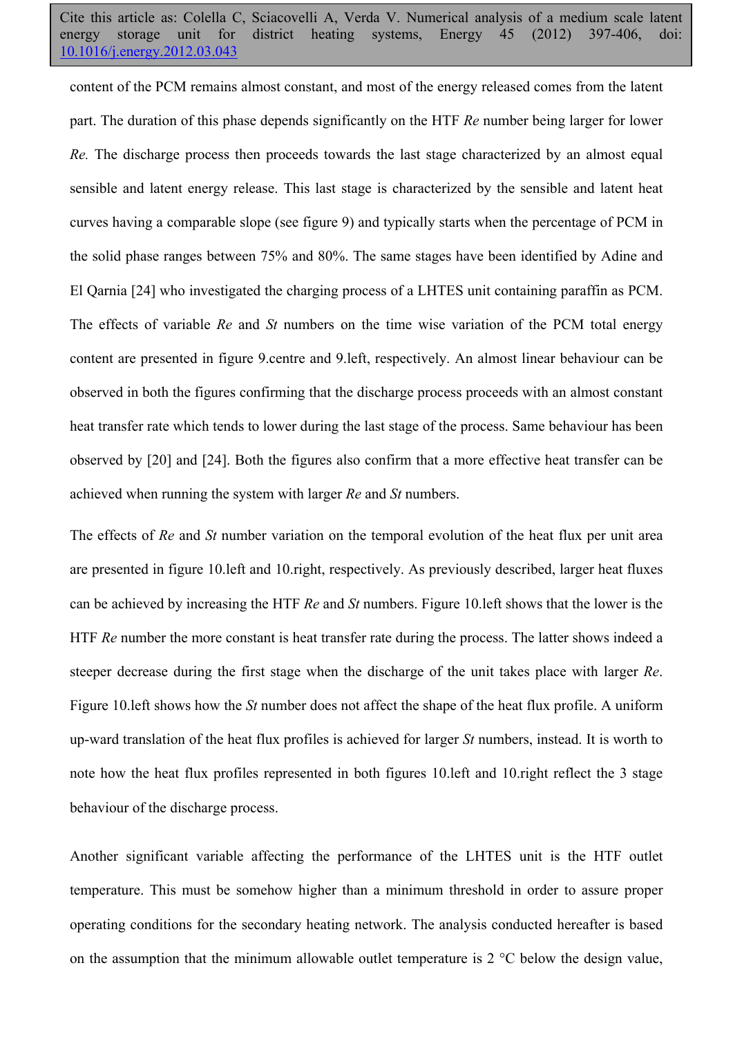content of the PCM remains almost constant, and most of the energy released comes from the latent part. The duration of this phase depends significantly on the HTF *Re* number being larger for lower *Re.* The discharge process then proceeds towards the last stage characterized by an almost equal sensible and latent energy release. This last stage is characterized by the sensible and latent heat curves having a comparable slope (see figure 9) and typically starts when the percentage of PCM in the solid phase ranges between 75% and 80%. The same stages have been identified by Adine and El Qarnia [24] who investigated the charging process of a LHTES unit containing paraffin as PCM. The effects of variable *Re* and *St* numbers on the time wise variation of the PCM total energy content are presented in figure 9.centre and 9.left, respectively. An almost linear behaviour can be observed in both the figures confirming that the discharge process proceeds with an almost constant heat transfer rate which tends to lower during the last stage of the process. Same behaviour has been observed by [20] and [24]. Both the figures also confirm that a more effective heat transfer can be achieved when running the system with larger *Re* and *St* numbers.

The effects of *Re* and *St* number variation on the temporal evolution of the heat flux per unit area are presented in figure 10.left and 10.right, respectively. As previously described, larger heat fluxes can be achieved by increasing the HTF *Re* and *St* numbers. Figure 10.left shows that the lower is the HTF *Re* number the more constant is heat transfer rate during the process. The latter shows indeed a steeper decrease during the first stage when the discharge of the unit takes place with larger *Re*. Figure 10.left shows how the *St* number does not affect the shape of the heat flux profile. A uniform up-ward translation of the heat flux profiles is achieved for larger *St* numbers, instead. It is worth to note how the heat flux profiles represented in both figures 10.left and 10.right reflect the 3 stage behaviour of the discharge process.

Another significant variable affecting the performance of the LHTES unit is the HTF outlet temperature. This must be somehow higher than a minimum threshold in order to assure proper operating conditions for the secondary heating network. The analysis conducted hereafter is based on the assumption that the minimum allowable outlet temperature is 2 °C below the design value,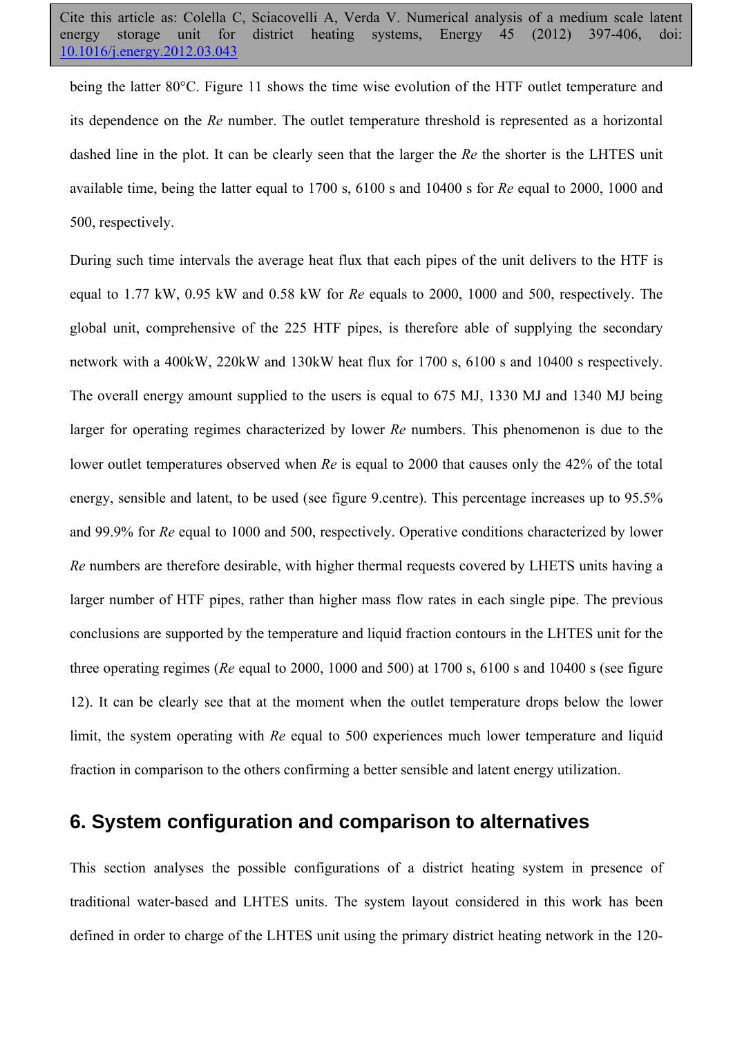being the latter 80°C. Figure 11 shows the time wise evolution of the HTF outlet temperature and its dependence on the *Re* number. The outlet temperature threshold is represented as a horizontal dashed line in the plot. It can be clearly seen that the larger the *Re* the shorter is the LHTES unit available time, being the latter equal to 1700 s, 6100 s and 10400 s for *Re* equal to 2000, 1000 and 500, respectively.

During such time intervals the average heat flux that each pipes of the unit delivers to the HTF is equal to 1.77 kW, 0.95 kW and 0.58 kW for *Re* equals to 2000, 1000 and 500, respectively. The global unit, comprehensive of the 225 HTF pipes, is therefore able of supplying the secondary network with a 400kW, 220kW and 130kW heat flux for 1700 s, 6100 s and 10400 s respectively. The overall energy amount supplied to the users is equal to 675 MJ, 1330 MJ and 1340 MJ being larger for operating regimes characterized by lower *Re* numbers. This phenomenon is due to the lower outlet temperatures observed when *Re* is equal to 2000 that causes only the 42% of the total energy, sensible and latent, to be used (see figure 9.centre). This percentage increases up to 95.5% and 99.9% for *Re* equal to 1000 and 500, respectively. Operative conditions characterized by lower *Re* numbers are therefore desirable, with higher thermal requests covered by LHETS units having a larger number of HTF pipes, rather than higher mass flow rates in each single pipe. The previous conclusions are supported by the temperature and liquid fraction contours in the LHTES unit for the three operating regimes (*Re* equal to 2000, 1000 and 500) at 1700 s, 6100 s and 10400 s (see figure 12). It can be clearly see that at the moment when the outlet temperature drops below the lower limit, the system operating with *Re* equal to 500 experiences much lower temperature and liquid fraction in comparison to the others confirming a better sensible and latent energy utilization.

### **6. System configuration and comparison to alternatives**

This section analyses the possible configurations of a district heating system in presence of traditional water-based and LHTES units. The system layout considered in this work has been defined in order to charge of the LHTES unit using the primary district heating network in the 120-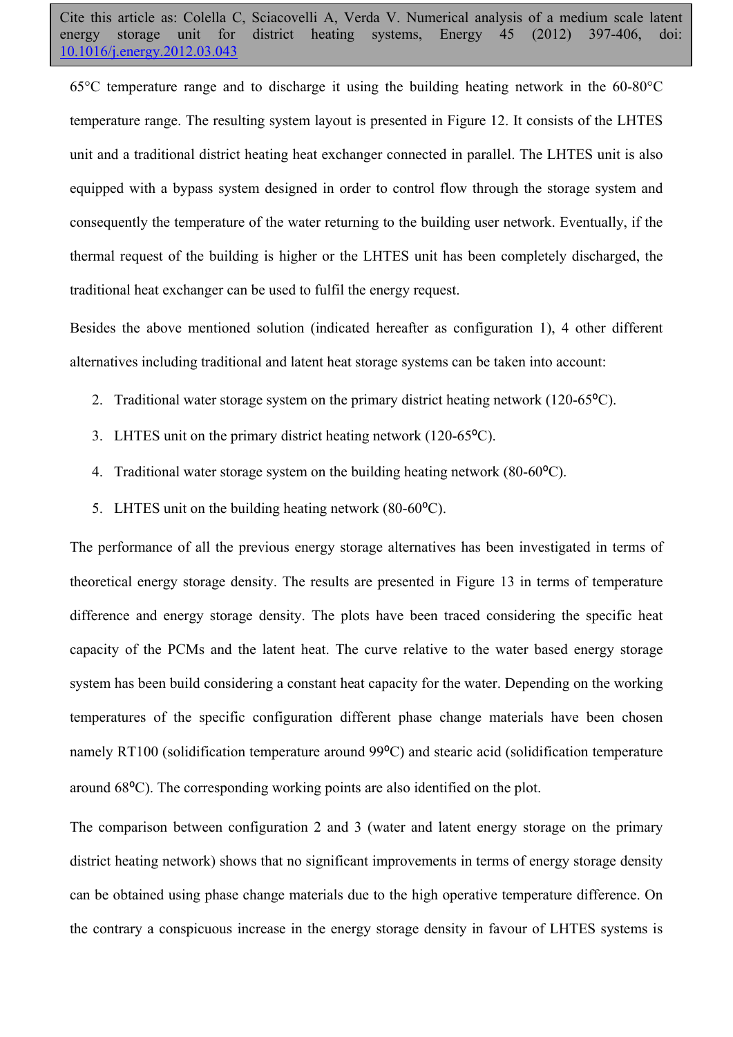65°C temperature range and to discharge it using the building heating network in the 60-80°C temperature range. The resulting system layout is presented in Figure 12. It consists of the LHTES unit and a traditional district heating heat exchanger connected in parallel. The LHTES unit is also equipped with a bypass system designed in order to control flow through the storage system and consequently the temperature of the water returning to the building user network. Eventually, if the thermal request of the building is higher or the LHTES unit has been completely discharged, the traditional heat exchanger can be used to fulfil the energy request.

Besides the above mentioned solution (indicated hereafter as configuration 1), 4 other different alternatives including traditional and latent heat storage systems can be taken into account:

- 2. Traditional water storage system on the primary district heating network  $(120-65^{\circ}C)$ .
- 3. LHTES unit on the primary district heating network  $(120-65^{\circ}C)$ .
- 4. Traditional water storage system on the building heating network  $(80-60^{\circ}C)$ .
- 5. LHTES unit on the building heating network  $(80-60^{\circ}C)$ .

The performance of all the previous energy storage alternatives has been investigated in terms of theoretical energy storage density. The results are presented in Figure 13 in terms of temperature difference and energy storage density. The plots have been traced considering the specific heat capacity of the PCMs and the latent heat. The curve relative to the water based energy storage system has been build considering a constant heat capacity for the water. Depending on the working temperatures of the specific configuration different phase change materials have been chosen namely RT100 (solidification temperature around 99<sup>o</sup>C) and stearic acid (solidification temperature around 68⁰C). The corresponding working points are also identified on the plot.

The comparison between configuration 2 and 3 (water and latent energy storage on the primary district heating network) shows that no significant improvements in terms of energy storage density can be obtained using phase change materials due to the high operative temperature difference. On the contrary a conspicuous increase in the energy storage density in favour of LHTES systems is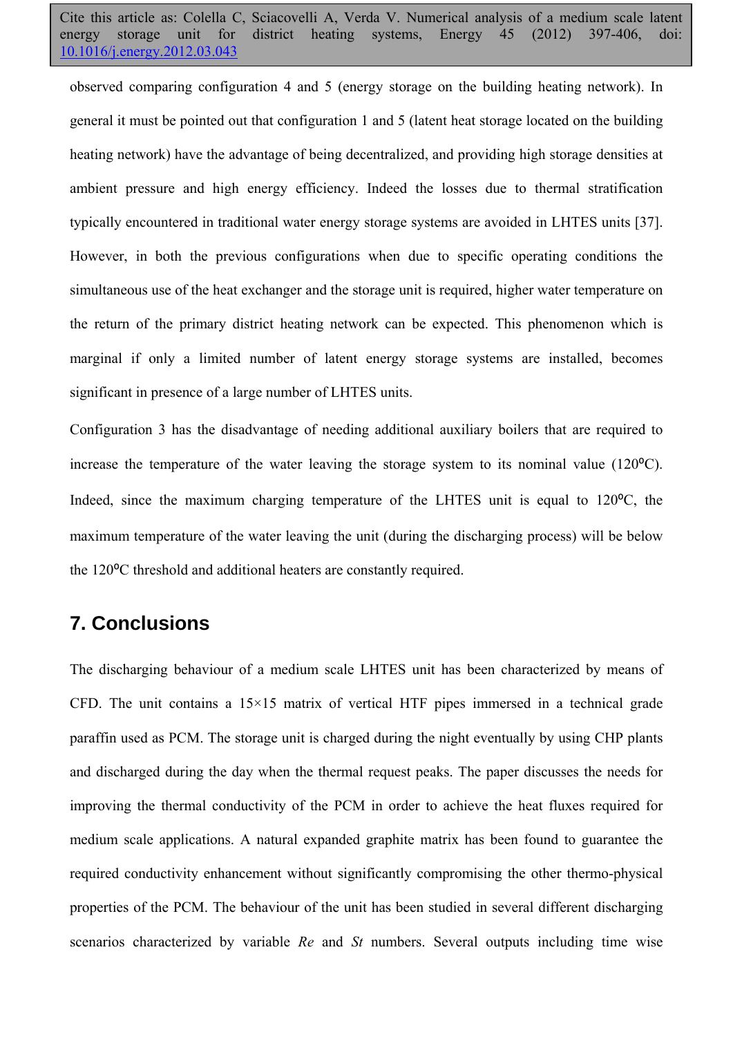observed comparing configuration 4 and 5 (energy storage on the building heating network). In general it must be pointed out that configuration 1 and 5 (latent heat storage located on the building heating network) have the advantage of being decentralized, and providing high storage densities at ambient pressure and high energy efficiency. Indeed the losses due to thermal stratification typically encountered in traditional water energy storage systems are avoided in LHTES units [37]. However, in both the previous configurations when due to specific operating conditions the simultaneous use of the heat exchanger and the storage unit is required, higher water temperature on the return of the primary district heating network can be expected. This phenomenon which is marginal if only a limited number of latent energy storage systems are installed, becomes significant in presence of a large number of LHTES units.

Configuration 3 has the disadvantage of needing additional auxiliary boilers that are required to increase the temperature of the water leaving the storage system to its nominal value  $(120^{\circ}C)$ . Indeed, since the maximum charging temperature of the LHTES unit is equal to  $120^{\circ}$ C, the maximum temperature of the water leaving the unit (during the discharging process) will be below the 120<sup>o</sup>C threshold and additional heaters are constantly required.

#### **7. Conclusions**

The discharging behaviour of a medium scale LHTES unit has been characterized by means of CFD. The unit contains a  $15\times15$  matrix of vertical HTF pipes immersed in a technical grade paraffin used as PCM. The storage unit is charged during the night eventually by using CHP plants and discharged during the day when the thermal request peaks. The paper discusses the needs for improving the thermal conductivity of the PCM in order to achieve the heat fluxes required for medium scale applications. A natural expanded graphite matrix has been found to guarantee the required conductivity enhancement without significantly compromising the other thermo-physical properties of the PCM. The behaviour of the unit has been studied in several different discharging scenarios characterized by variable *Re* and *St* numbers. Several outputs including time wise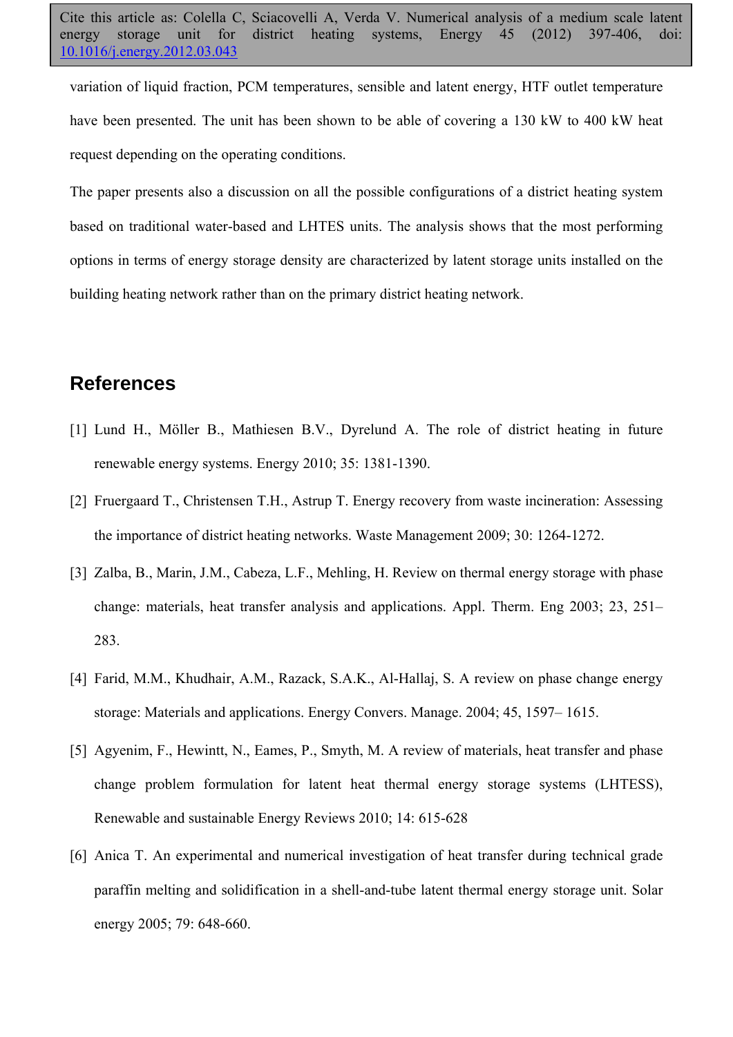variation of liquid fraction, PCM temperatures, sensible and latent energy, HTF outlet temperature have been presented. The unit has been shown to be able of covering a 130 kW to 400 kW heat request depending on the operating conditions.

The paper presents also a discussion on all the possible configurations of a district heating system based on traditional water-based and LHTES units. The analysis shows that the most performing options in terms of energy storage density are characterized by latent storage units installed on the building heating network rather than on the primary district heating network.

### **References**

- [1] Lund H., Möller B., Mathiesen B.V., Dyrelund A. The role of district heating in future renewable energy systems. Energy 2010; 35: 1381-1390.
- [2] Fruergaard T., Christensen T.H., Astrup T. Energy recovery from waste incineration: Assessing the importance of district heating networks. Waste Management 2009; 30: 1264-1272.
- [3] Zalba, B., Marin, J.M., Cabeza, L.F., Mehling, H. Review on thermal energy storage with phase change: materials, heat transfer analysis and applications. Appl. Therm. Eng 2003; 23, 251– 283.
- [4] Farid, M.M., Khudhair, A.M., Razack, S.A.K., Al-Hallaj, S. A review on phase change energy storage: Materials and applications. Energy Convers. Manage. 2004; 45, 1597– 1615.
- [5] Agyenim, F., Hewintt, N., Eames, P., Smyth, M. A review of materials, heat transfer and phase change problem formulation for latent heat thermal energy storage systems (LHTESS), Renewable and sustainable Energy Reviews 2010; 14: 615-628
- [6] Anica T. An experimental and numerical investigation of heat transfer during technical grade paraffin melting and solidification in a shell-and-tube latent thermal energy storage unit. Solar energy 2005; 79: 648-660.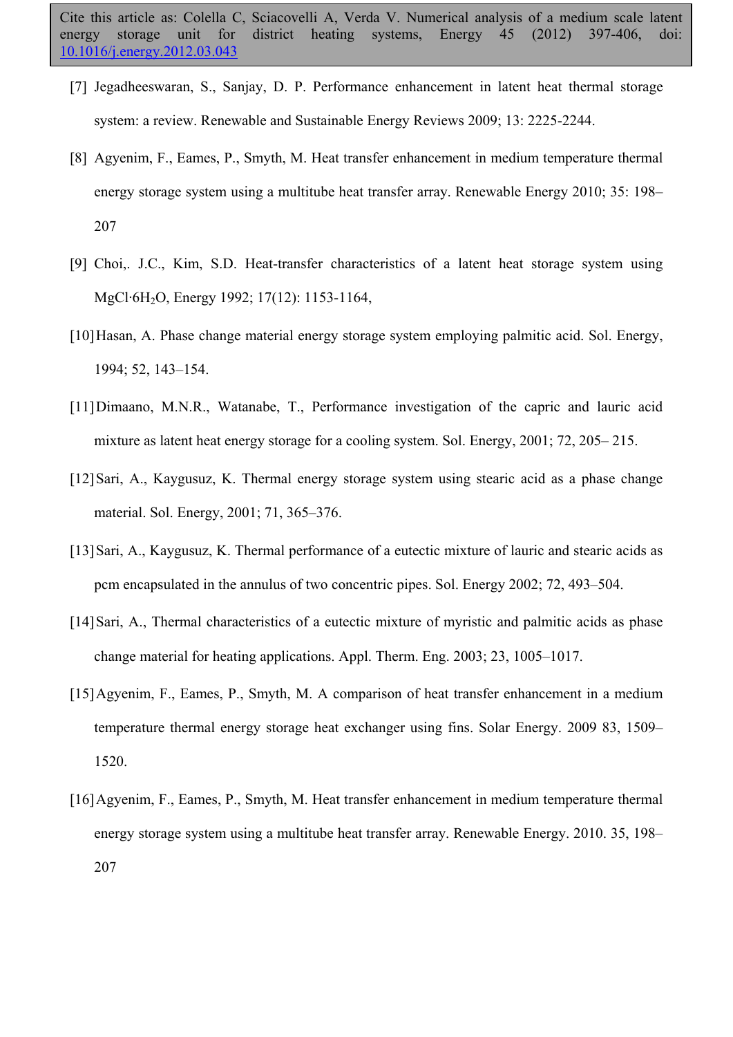- [7] Jegadheeswaran, S., Sanjay, D. P. Performance enhancement in latent heat thermal storage system: a review. Renewable and Sustainable Energy Reviews 2009; 13: 2225-2244.
- [8] Agyenim, F., Eames, P., Smyth, M. Heat transfer enhancement in medium temperature thermal energy storage system using a multitube heat transfer array. Renewable Energy 2010; 35: 198– 207
- [9] Choi,. J.C., Kim, S.D. Heat-transfer characteristics of a latent heat storage system using MgCl·6H2O, Energy 1992; 17(12): 1153-1164,
- [10]Hasan, A. Phase change material energy storage system employing palmitic acid. Sol. Energy, 1994; 52, 143–154.
- [11]Dimaano, M.N.R., Watanabe, T., Performance investigation of the capric and lauric acid mixture as latent heat energy storage for a cooling system. Sol. Energy, 2001; 72, 205– 215.
- [12]Sari, A., Kaygusuz, K. Thermal energy storage system using stearic acid as a phase change material. Sol. Energy, 2001; 71, 365–376.
- [13]Sari, A., Kaygusuz, K. Thermal performance of a eutectic mixture of lauric and stearic acids as pcm encapsulated in the annulus of two concentric pipes. Sol. Energy 2002; 72, 493–504.
- [14]Sari, A., Thermal characteristics of a eutectic mixture of myristic and palmitic acids as phase change material for heating applications. Appl. Therm. Eng. 2003; 23, 1005–1017.
- [15]Agyenim, F., Eames, P., Smyth, M. A comparison of heat transfer enhancement in a medium temperature thermal energy storage heat exchanger using fins. Solar Energy. 2009 83, 1509– 1520.
- [16]Agyenim, F., Eames, P., Smyth, M. Heat transfer enhancement in medium temperature thermal energy storage system using a multitube heat transfer array. Renewable Energy. 2010. 35, 198– 207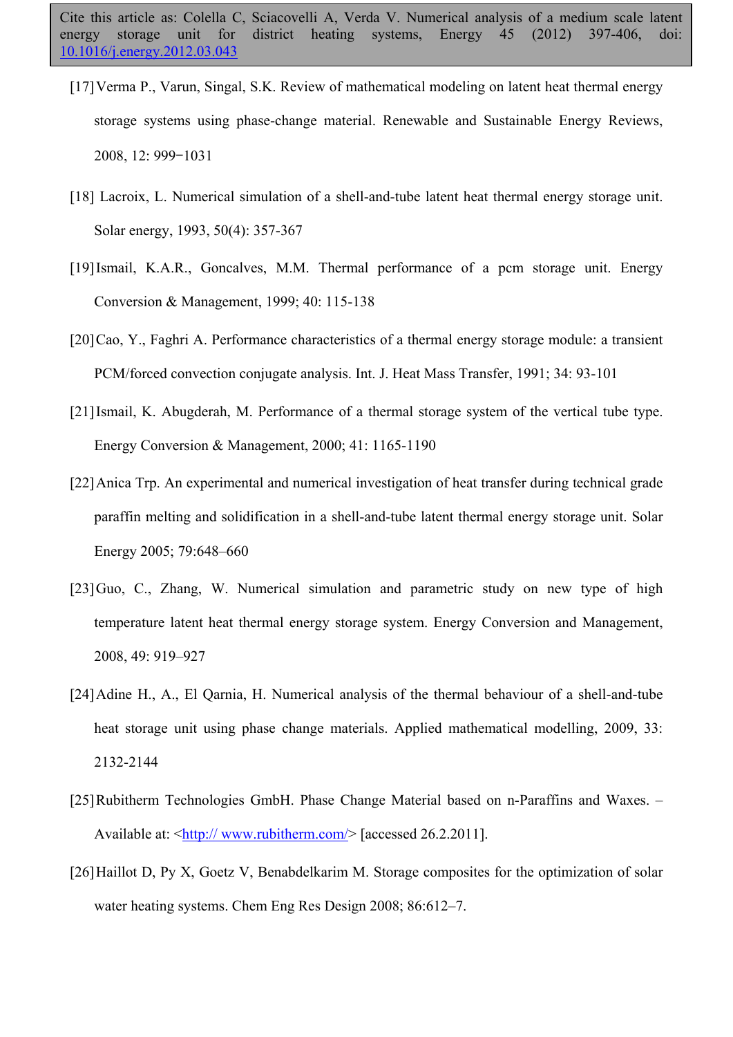- [17]Verma P., Varun, Singal, S.K. Review of mathematical modeling on latent heat thermal energy storage systems using phase-change material. Renewable and Sustainable Energy Reviews, 2008, 12: 999–1031
- [18] Lacroix, L. Numerical simulation of a shell-and-tube latent heat thermal energy storage unit. Solar energy, 1993, 50(4): 357-367
- [19]Ismail, K.A.R., Goncalves, M.M. Thermal performance of a pcm storage unit. Energy Conversion & Management, 1999; 40: 115-138
- [20]Cao, Y., Faghri A. Performance characteristics of a thermal energy storage module: a transient PCM/forced convection conjugate analysis. Int. J. Heat Mass Transfer, 1991; 34: 93-101
- [21] Ismail, K. Abugderah, M. Performance of a thermal storage system of the vertical tube type. Energy Conversion & Management, 2000; 41: 1165-1190
- [22]Anica Trp. An experimental and numerical investigation of heat transfer during technical grade paraffin melting and solidification in a shell-and-tube latent thermal energy storage unit. Solar Energy 2005; 79:648–660
- [23]Guo, C., Zhang, W. Numerical simulation and parametric study on new type of high temperature latent heat thermal energy storage system. Energy Conversion and Management, 2008, 49: 919–927
- [24]Adine H., A., El Qarnia, H. Numerical analysis of the thermal behaviour of a shell-and-tube heat storage unit using phase change materials. Applied mathematical modelling, 2009, 33: 2132-2144
- [25]Rubitherm Technologies GmbH. Phase Change Material based on n-Paraffins and Waxes. Available at: <http:// www.rubitherm.com/> [accessed 26.2.2011].
- [26]Haillot D, Py X, Goetz V, Benabdelkarim M. Storage composites for the optimization of solar water heating systems. Chem Eng Res Design 2008; 86:612–7.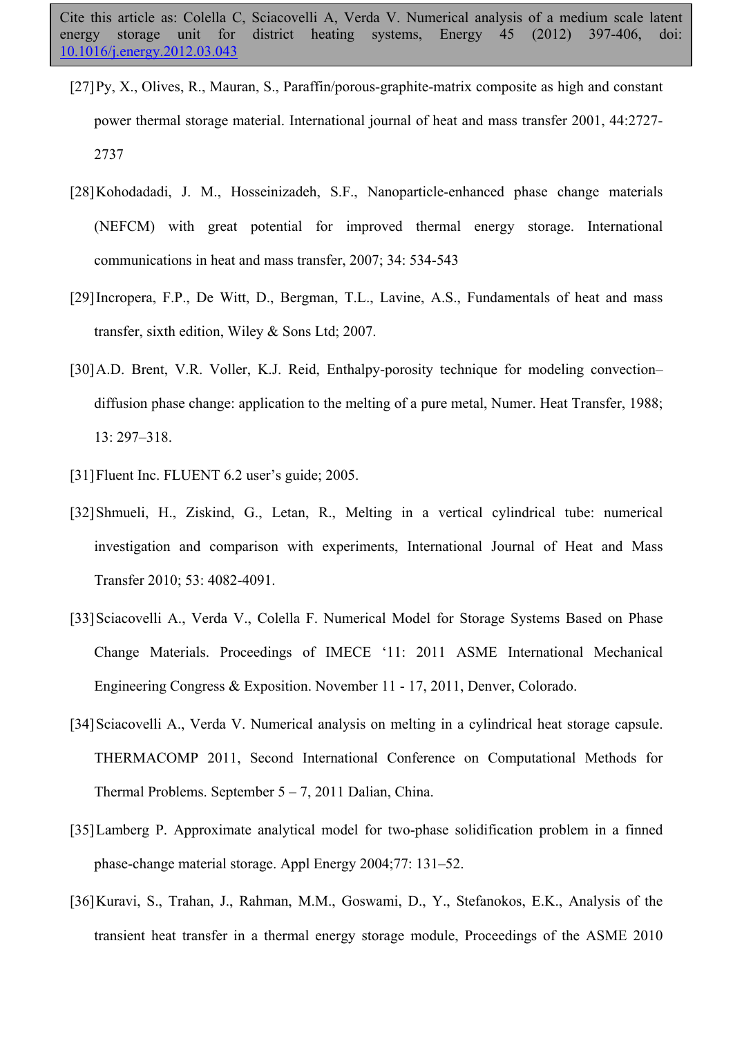- [27]Py, X., Olives, R., Mauran, S., Paraffin/porous-graphite-matrix composite as high and constant power thermal storage material. International journal of heat and mass transfer 2001, 44:2727- 2737
- [28]Kohodadadi, J. M., Hosseinizadeh, S.F., Nanoparticle-enhanced phase change materials (NEFCM) with great potential for improved thermal energy storage. International communications in heat and mass transfer, 2007; 34: 534-543
- [29]Incropera, F.P., De Witt, D., Bergman, T.L., Lavine, A.S., Fundamentals of heat and mass transfer, sixth edition, Wiley & Sons Ltd; 2007.
- [30]A.D. Brent, V.R. Voller, K.J. Reid, Enthalpy-porosity technique for modeling convection– diffusion phase change: application to the melting of a pure metal, Numer. Heat Transfer, 1988; 13: 297–318.
- [31] Fluent Inc. FLUENT 6.2 user's guide; 2005.
- [32]Shmueli, H., Ziskind, G., Letan, R., Melting in a vertical cylindrical tube: numerical investigation and comparison with experiments, International Journal of Heat and Mass Transfer 2010; 53: 4082-4091.
- [33]Sciacovelli A., Verda V., Colella F. Numerical Model for Storage Systems Based on Phase Change Materials. Proceedings of IMECE '11: 2011 ASME International Mechanical Engineering Congress & Exposition. November 11 - 17, 2011, Denver, Colorado.
- [34]Sciacovelli A., Verda V. Numerical analysis on melting in a cylindrical heat storage capsule. THERMACOMP 2011, Second International Conference on Computational Methods for Thermal Problems. September  $5 - 7$ , 2011 Dalian, China.
- [35]Lamberg P. Approximate analytical model for two-phase solidification problem in a finned phase-change material storage. Appl Energy 2004;77: 131–52.
- [36]Kuravi, S., Trahan, J., Rahman, M.M., Goswami, D., Y., Stefanokos, E.K., Analysis of the transient heat transfer in a thermal energy storage module, Proceedings of the ASME 2010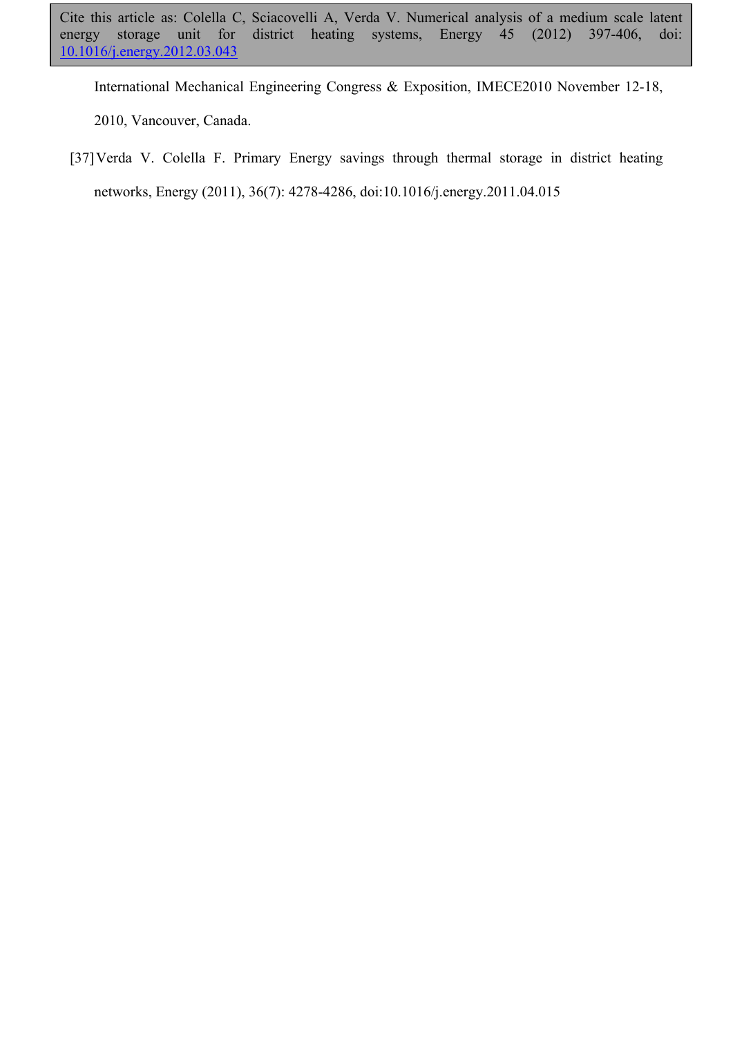International Mechanical Engineering Congress & Exposition, IMECE2010 November 12-18, 2010, Vancouver, Canada.

[37]Verda V. Colella F. Primary Energy savings through thermal storage in district heating networks, Energy (2011), 36(7): 4278-4286, doi:10.1016/j.energy.2011.04.015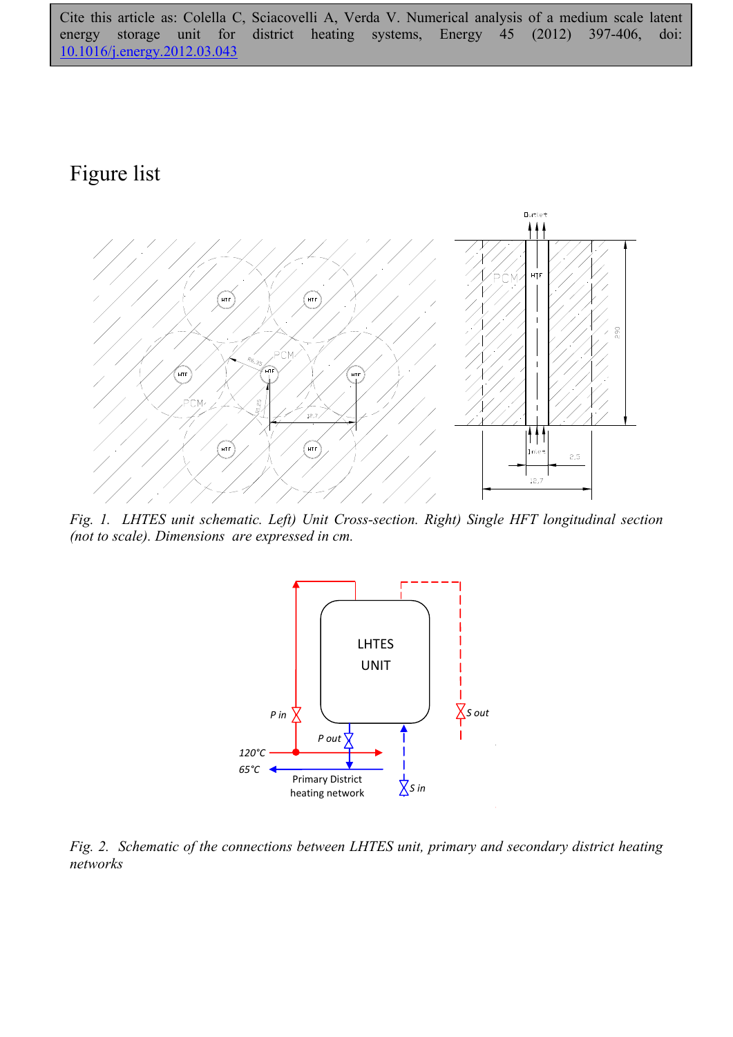# Figure list



*Fig. 1. LHTES unit schematic. Left) Unit Cross-section. Right) Single HFT longitudinal section (not to scale). Dimensions are expressed in cm.* 



*Fig. 2. Schematic of the connections between LHTES unit, primary and secondary district heating networks*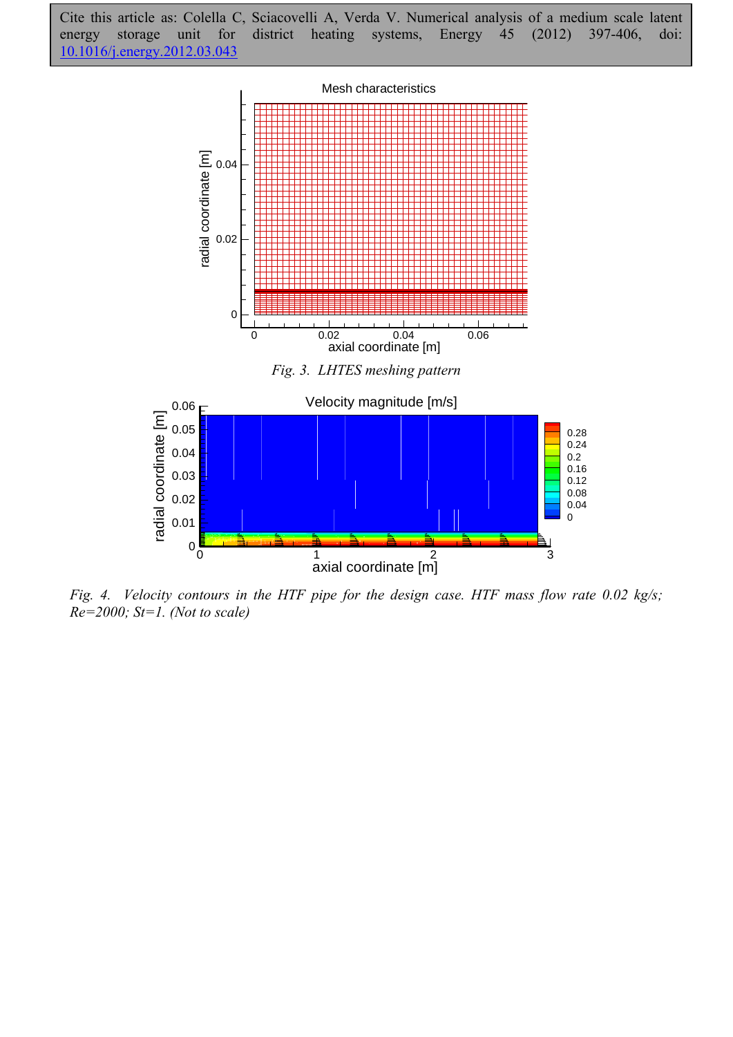



*Fig. 4. Velocity contours in the HTF pipe for the design case. HTF mass flow rate 0.02 kg/s; Re=2000; St=1. (Not to scale)*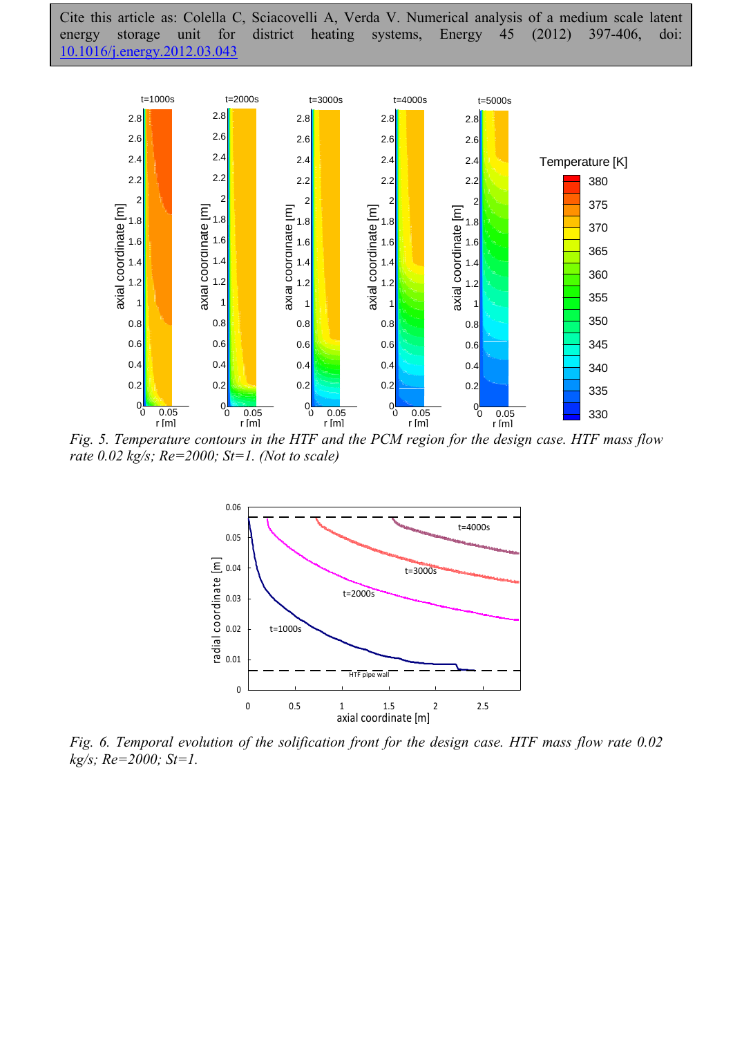

*Fig. 5. Temperature contours in the HTF and the PCM region for the design case. HTF mass flow rate 0.02 kg/s; Re=2000; St=1. (Not to scale)* 



*Fig. 6. Temporal evolution of the solification front for the design case. HTF mass flow rate 0.02 kg/s; Re=2000; St=1.*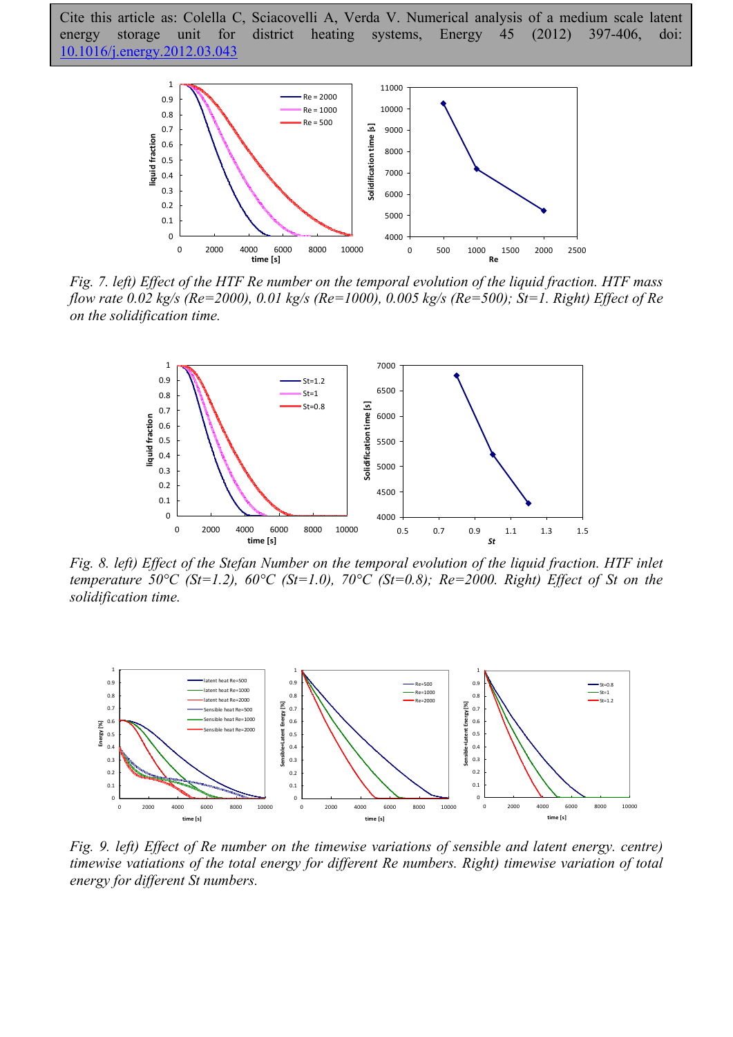

*Fig. 7. left) Effect of the HTF Re number on the temporal evolution of the liquid fraction. HTF mass flow rate 0.02 kg/s (Re=2000), 0.01 kg/s (Re=1000), 0.005 kg/s (Re=500); St=1. Right) Effect of Re on the solidification time.* 



*Fig. 8. left) Effect of the Stefan Number on the temporal evolution of the liquid fraction. HTF inlet temperature 50°C (St=1.2), 60°C (St=1.0), 70°C (St=0.8); Re=2000. Right) Effect of St on the solidification time.* 



*Fig. 9. left) Effect of Re number on the timewise variations of sensible and latent energy. centre) timewise vatiations of the total energy for different Re numbers. Right) timewise variation of total energy for different St numbers.*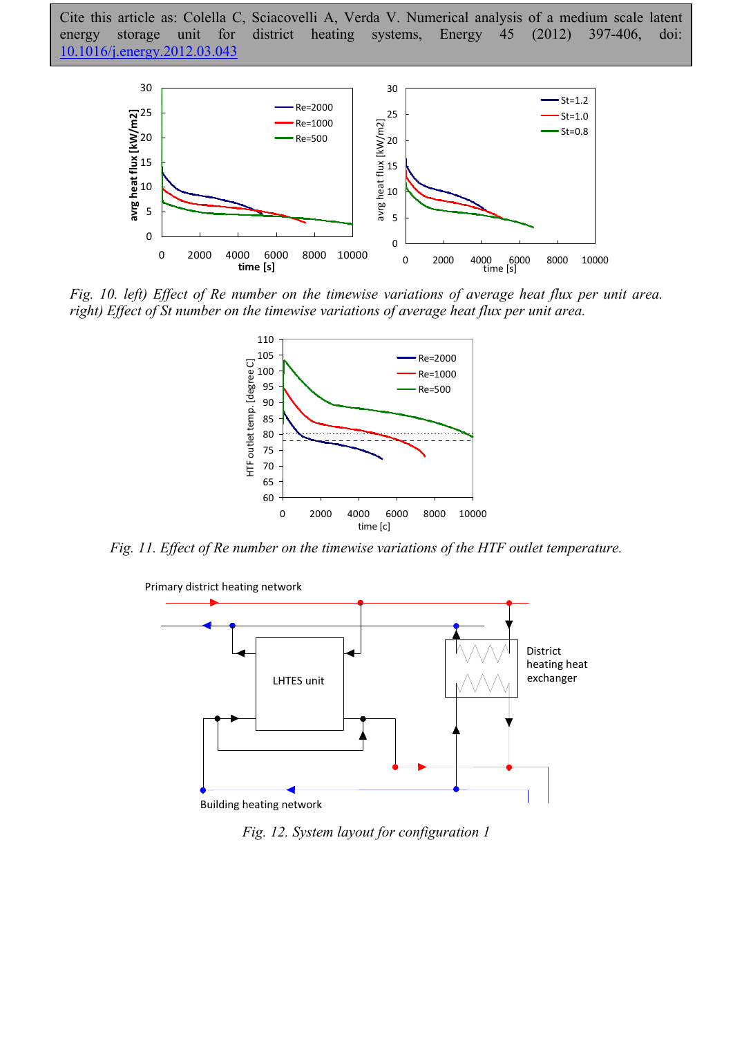

*Fig. 10. left) Effect of Re number on the timewise variations of average heat flux per unit area. right) Effect of St number on the timewise variations of average heat flux per unit area.* 



*Fig. 11. Effect of Re number on the timewise variations of the HTF outlet temperature.* 



*Fig. 12. System layout for configuration 1*